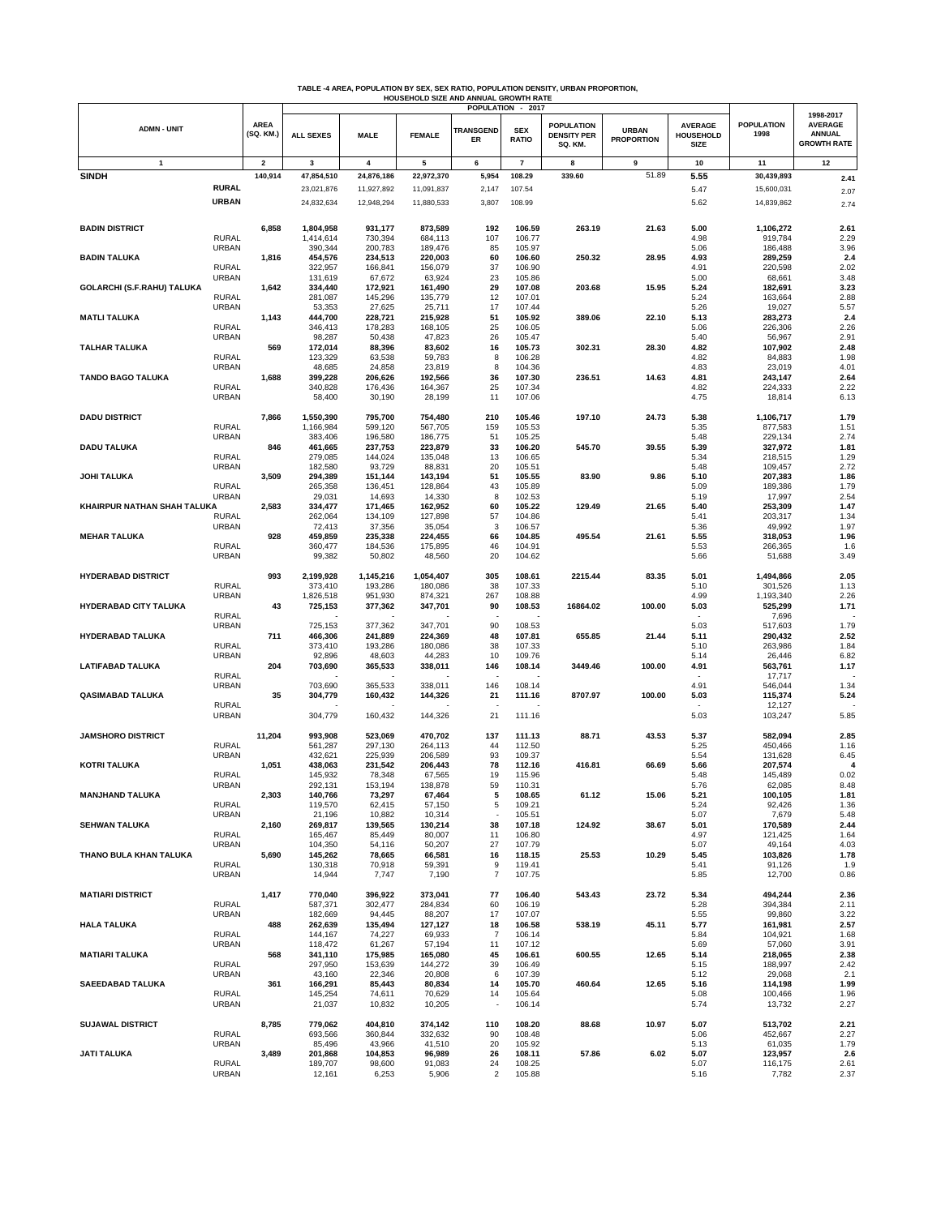|                              |                              |                          |                      |                    | HOUSEHOLD SIZE AND ANNUAL GROWTH RATE |                        |                                                 | TABLE -4 AREA, POPULATION BY SEX, SEX RATIO, POPULATION DENSITY, URBAN PROPORTION, |                                   |                                            |                           |                                                                    |
|------------------------------|------------------------------|--------------------------|----------------------|--------------------|---------------------------------------|------------------------|-------------------------------------------------|------------------------------------------------------------------------------------|-----------------------------------|--------------------------------------------|---------------------------|--------------------------------------------------------------------|
| <b>ADMN - UNIT</b>           |                              | <b>AREA</b><br>(SQ. KM.) | <b>ALL SEXES</b>     | <b>MALE</b>        | <b>FEMALE</b>                         | <b>TRANSGEND</b><br>ER | POPULATION - 2017<br><b>SEX</b><br><b>RATIO</b> | <b>POPULATION</b><br><b>DENSITY PER</b><br>SQ. KM.                                 | <b>URBAN</b><br><b>PROPORTION</b> | <b>AVERAGE</b><br>HOUSEHOLD<br><b>SIZE</b> | <b>POPULATION</b><br>1998 | 1998-2017<br><b>AVERAGE</b><br><b>ANNUAL</b><br><b>GROWTH RATE</b> |
| 1                            |                              | $\overline{\mathbf{2}}$  | 3                    | 4                  | 5                                     | 6                      | 7                                               | 8                                                                                  | 9                                 | 10                                         | 11                        | 12                                                                 |
| <b>SINDH</b>                 |                              | 140,914                  | 47,854,510           | 24,876,186         | 22,972,370                            | 5,954                  | 108.29                                          | 339.60                                                                             | 51.89                             | 5.55                                       | 30,439,893                | 2.41                                                               |
|                              | <b>RURAL</b>                 |                          | 23,021,876           | 11,927,892         | 11,091,837                            | 2,147                  | 107.54                                          |                                                                                    |                                   | 5.47                                       | 15,600,031                | 2.07                                                               |
|                              | <b>URBAN</b>                 |                          | 24,832,634           | 12,948,294         | 11,880,533                            | 3,807                  | 108.99                                          |                                                                                    |                                   | 5.62                                       | 14,839,862                | 2.74                                                               |
|                              |                              |                          |                      |                    |                                       |                        |                                                 |                                                                                    |                                   |                                            |                           |                                                                    |
| <b>BADIN DISTRICT</b>        |                              | 6,858                    | 1,804,958            | 931,177            | 873,589                               | 192                    | 106.59                                          | 263.19                                                                             | 21.63                             | 5.00                                       | 1,106,272                 | 2.61                                                               |
|                              | <b>RURAL</b>                 |                          | 1,414,614            | 730,394            | 684,113                               | 107                    | 106.77                                          |                                                                                    |                                   | 4.98                                       | 919,784                   | 2.29                                                               |
| <b>BADIN TALUKA</b>          | URBAN                        | 1,816                    | 390,344<br>454,576   | 200,783<br>234,513 | 189,476<br>220,003                    | 85<br>60               | 105.97<br>106.60                                | 250.32                                                                             | 28.95                             | 5.06<br>4.93                               | 186,488<br>289,259        | 3.96<br>2.4                                                        |
|                              | <b>RURAL</b>                 |                          | 322,957              | 166,841            | 156,079                               | 37                     | 106.90                                          |                                                                                    |                                   | 4.91                                       | 220,598                   | 2.02                                                               |
|                              | <b>URBAN</b>                 |                          | 131,619              | 67,672             | 63,924                                | 23                     | 105.86                                          |                                                                                    |                                   | 5.00                                       | 68,661                    | 3.48                                                               |
| GOLARCHI (S.F.RAHU) TALUKA   |                              | 1,642                    | 334,440              | 172,921            | 161,490                               | 29                     | 107.08                                          | 203.68                                                                             | 15.95                             | 5.24                                       | 182,691                   | 3.23                                                               |
|                              | <b>RURAL</b><br>URBAN        |                          | 281,087<br>53,353    | 145,296<br>27,625  | 135,779<br>25,711                     | 12<br>17               | 107.01<br>107.44                                |                                                                                    |                                   | 5.24<br>5.26                               | 163,664<br>19,027         | 2.88<br>5.57                                                       |
| <b>MATLI TALUKA</b>          |                              | 1,143                    | 444,700              | 228,721            | 215,928                               | 51                     | 105.92                                          | 389.06                                                                             | 22.10                             | 5.13                                       | 283,273                   | 2.4                                                                |
|                              | <b>RURAL</b>                 |                          | 346,413              | 178,283            | 168,105                               | 25                     | 106.05                                          |                                                                                    |                                   | 5.06                                       | 226,306                   | 2.26                                                               |
|                              | URBAN                        |                          | 98,287               | 50,438             | 47,823                                | 26                     | 105.47                                          |                                                                                    |                                   | 5.40                                       | 56,967                    | 2.91                                                               |
| <b>TALHAR TALUKA</b>         |                              | 569                      | 172,014              | 88,396             | 83,602                                | 16                     | 105.73                                          | 302.31                                                                             | 28.30                             | 4.82                                       | 107,902                   | 2.48                                                               |
|                              | <b>RURAL</b><br>URBAN        |                          | 123,329<br>48,685    | 63,538<br>24,858   | 59,783<br>23,819                      | 8<br>8                 | 106.28<br>104.36                                |                                                                                    |                                   | 4.82<br>4.83                               | 84,883<br>23,019          | 1.98<br>4.01                                                       |
| <b>TANDO BAGO TALUKA</b>     |                              | 1,688                    | 399,228              | 206,626            | 192,566                               | 36                     | 107.30                                          | 236.51                                                                             | 14.63                             | 4.81                                       | 243,147                   | 2.64                                                               |
|                              | <b>RURAL</b>                 |                          | 340,828              | 176,436            | 164,367                               | 25                     | 107.34                                          |                                                                                    |                                   | 4.82                                       | 224,333                   | 2.22                                                               |
|                              | <b>URBAN</b>                 |                          | 58,400               | 30,190             | 28,199                                | 11                     | 107.06                                          |                                                                                    |                                   | 4.75                                       | 18,814                    | 6.13                                                               |
|                              |                              |                          |                      |                    |                                       |                        |                                                 |                                                                                    |                                   |                                            |                           |                                                                    |
| <b>DADU DISTRICT</b>         | <b>RURAL</b>                 | 7,866                    | 1,550,390            | 795,700            | 754,480                               | 210                    | 105.46                                          | 197.10                                                                             | 24.73                             | 5.38                                       | 1,106,717                 | 1.79                                                               |
|                              | URBAN                        |                          | 1,166,984<br>383,406 | 599,120<br>196,580 | 567,705<br>186,775                    | 159<br>51              | 105.53<br>105.25                                |                                                                                    |                                   | 5.35<br>5.48                               | 877,583<br>229,134        | 1.51<br>2.74                                                       |
| <b>DADU TALUKA</b>           |                              | 846                      | 461,665              | 237,753            | 223,879                               | 33                     | 106.20                                          | 545.70                                                                             | 39.55                             | 5.39                                       | 327,972                   | 1.81                                                               |
|                              | <b>RURAL</b>                 |                          | 279,085              | 144,024            | 135,048                               | 13                     | 106.65                                          |                                                                                    |                                   | 5.34                                       | 218,515                   | 1.29                                                               |
|                              | URBAN                        |                          | 182,580              | 93,729             | 88,831                                | 20                     | 105.51                                          |                                                                                    |                                   | 5.48                                       | 109,457                   | 2.72                                                               |
| JOHI TALUKA                  |                              | 3,509                    | 294,389              | 151,144            | 143,194                               | 51                     | 105.55                                          | 83.90                                                                              | 9.86                              | 5.10                                       | 207,383                   | 1.86                                                               |
|                              | <b>RURAL</b><br><b>URBAN</b> |                          | 265,358<br>29,031    | 136,451<br>14,693  | 128,864<br>14,330                     | 43<br>8                | 105.89<br>102.53                                |                                                                                    |                                   | 5.09<br>5.19                               | 189,386<br>17,997         | 1.79<br>2.54                                                       |
| KHAIRPUR NATHAN SHAH TALUKA  |                              | 2,583                    | 334,477              | 171,465            | 162,952                               | 60                     | 105.22                                          | 129.49                                                                             | 21.65                             | 5.40                                       | 253,309                   | 1.47                                                               |
|                              | <b>RURAL</b>                 |                          | 262,064              | 134,109            | 127,898                               | 57                     | 104.86                                          |                                                                                    |                                   | 5.41                                       | 203,317                   | 1.34                                                               |
|                              | <b>URBAN</b>                 |                          | 72,413               | 37,356             | 35,054                                | 3                      | 106.57                                          |                                                                                    |                                   | 5.36                                       | 49,992                    | 1.97                                                               |
| <b>MEHAR TALUKA</b>          |                              | 928                      | 459,859              | 235,338            | 224,455                               | 66                     | 104.85                                          | 495.54                                                                             | 21.61                             | 5.55                                       | 318,053                   | 1.96                                                               |
|                              | <b>RURAL</b><br>URBAN        |                          | 360,477<br>99,382    | 184,536<br>50,802  | 175,895<br>48,560                     | 46<br>20               | 104.91<br>104.62                                |                                                                                    |                                   | 5.53<br>5.66                               | 266,365<br>51,688         | 1.6                                                                |
|                              |                              |                          |                      |                    |                                       |                        |                                                 |                                                                                    |                                   |                                            |                           | 3.49                                                               |
| <b>HYDERABAD DISTRICT</b>    |                              | 993                      | 2,199,928            | 1,145,216          | 1,054,407                             | 305                    | 108.61                                          | 2215.44                                                                            | 83.35                             | 5.01                                       | 1,494,866                 | 2.05                                                               |
|                              | <b>RURAL</b>                 |                          | 373,410              | 193,286            | 180,086                               | 38                     | 107.33                                          |                                                                                    |                                   | 5.10                                       | 301,526                   | 1.13                                                               |
|                              | <b>URBAN</b>                 |                          | 1,826,518            | 951,930            | 874,321                               | 267                    | 108.88                                          |                                                                                    |                                   | 4.99                                       | 1,193,340                 | 2.26                                                               |
| <b>HYDERABAD CITY TALUKA</b> | <b>RURAL</b>                 | 43                       | 725,153              | 377,362            | 347,701                               | 90                     | 108.53                                          | 16864.02                                                                           | 100.00                            | 5.03                                       | 525,299<br>7,696          | 1.71                                                               |
|                              | <b>URBAN</b>                 |                          | 725,153              | 377,362            | 347,701                               | 90                     | 108.53                                          |                                                                                    |                                   | 5.03                                       | 517,603                   | 1.79                                                               |
| <b>HYDERABAD TALUKA</b>      |                              | 711                      | 466,306              | 241,889            | 224,369                               | 48                     | 107.81                                          | 655.85                                                                             | 21.44                             | 5.11                                       | 290,432                   | 2.52                                                               |
|                              | <b>RURAL</b>                 |                          | 373,410              | 193,286            | 180,086                               | 38                     | 107.33                                          |                                                                                    |                                   | 5.10                                       | 263,986                   | 1.84                                                               |
|                              | <b>URBAN</b>                 |                          | 92,896               | 48,603             | 44,283                                | 10                     | 109.76                                          |                                                                                    |                                   | 5.14                                       | 26,446                    | 6.82                                                               |
| <b>LATIFABAD TALUKA</b>      |                              | 204                      | 703,690              | 365,533            | 338,011                               | 146                    | 108.14                                          | 3449.46                                                                            | 100.00                            | 4.91                                       | 563,761                   | 1.17                                                               |
|                              | <b>RURAL</b><br><b>URBAN</b> |                          | 703,690              | 365,533            | 338,011                               | 146                    | 108.14                                          |                                                                                    |                                   | 4.91                                       | 17,717<br>546,044         | 1.34                                                               |
| <b>QASIMABAD TALUKA</b>      |                              | 35                       | 304,779              | 160,432            | 144,326                               | 21                     | 111.16                                          | 8707.97                                                                            | 100.00                            | 5.03                                       | 115,374                   | 5.24                                                               |
|                              | <b>RURAL</b>                 |                          |                      |                    |                                       |                        |                                                 |                                                                                    |                                   |                                            | 12,127                    |                                                                    |
|                              | <b>URBAN</b>                 |                          | 304,779              | 160,432            | 144,326                               | 21                     | 111.16                                          |                                                                                    |                                   | 5.03                                       | 103,247                   | 5.85                                                               |
| <b>JAMSHORO DISTRICT</b>     |                              |                          |                      |                    |                                       |                        |                                                 |                                                                                    |                                   |                                            |                           |                                                                    |
|                              | <b>RURAL</b>                 | 11,204                   | 993,908<br>561,287   | 523,069<br>297,130 | 470,702<br>264,113                    | 137<br>44              | 111.13<br>112.50                                | 88.71                                                                              | 43.53                             | 5.37<br>5.25                               | 582,094<br>450,466        | 2.85<br>1.16                                                       |
|                              | <b>URBAN</b>                 |                          | 432,621              | 225,939            | 206,589                               | 93                     | 109.37                                          |                                                                                    |                                   | 5.54                                       | 131,628                   | 6.45                                                               |
| <b>KOTRI TALUKA</b>          |                              | 1,051                    | 438,063              | 231,542            | 206,443                               | 78                     | 112.16                                          | 416.81                                                                             | 66.69                             | 5.66                                       | 207,574                   | 4                                                                  |
|                              | <b>RURAL</b>                 |                          | 145,932              | 78,348             | 67,565                                | 19                     | 115.96                                          |                                                                                    |                                   | 5.48                                       | 145,489                   | 0.02                                                               |
| <b>MANJHAND TALUKA</b>       | URBAN                        | 2,303                    | 292,131<br>140,766   | 153,194<br>73,297  | 138,878<br>67,464                     | 59<br>5                | 110.31<br>108.65                                | 61.12                                                                              | 15.06                             | 5.76<br>5.21                               | 62,085<br>100,105         | 8.48<br>1.81                                                       |
|                              | <b>RURAL</b>                 |                          | 119,570              | 62,415             | 57,150                                | 5                      | 109.21                                          |                                                                                    |                                   | 5.24                                       | 92,426                    | 1.36                                                               |
|                              | URBAN                        |                          | 21,196               | 10,882             | 10,314                                |                        | 105.51                                          |                                                                                    |                                   | 5.07                                       | 7,679                     | 5.48                                                               |
| <b>SEHWAN TALUKA</b>         |                              | 2,160                    | 269,817              | 139,565            | 130,214                               | 38                     | 107.18                                          | 124.92                                                                             | 38.67                             | 5.01                                       | 170,589                   | 2.44                                                               |
|                              | <b>RURAL</b>                 |                          | 165,467              | 85,449             | 80,007                                | 11                     | 106.80                                          |                                                                                    |                                   | 4.97                                       | 121,425                   | 1.64                                                               |
|                              | URBAN                        |                          | 104,350              | 54,116             | 50,207                                | 27                     | 107.79                                          |                                                                                    |                                   | 5.07                                       | 49,164                    | 4.03                                                               |
| THANO BULA KHAN TALUKA       | <b>RURAL</b>                 | 5,690                    | 145,262<br>130,318   | 78,665<br>70,918   | 66,581<br>59,391                      | 16<br>9                | 118.15<br>119.41                                | 25.53                                                                              | 10.29                             | 5.45<br>5.41                               | 103,826<br>91,126         | 1.78<br>1.9                                                        |
|                              | URBAN                        |                          | 14,944               | 7,747              | 7,190                                 | $\overline{7}$         | 107.75                                          |                                                                                    |                                   | 5.85                                       | 12,700                    | 0.86                                                               |
|                              |                              |                          |                      |                    |                                       |                        |                                                 |                                                                                    |                                   |                                            |                           |                                                                    |
| <b>MATIARI DISTRICT</b>      |                              | 1,417                    | 770,040              | 396,922            | 373,041                               | 77                     | 106.40                                          | 543.43                                                                             | 23.72                             | 5.34                                       | 494,244                   | 2.36                                                               |
|                              | <b>RURAL</b>                 |                          | 587,371              | 302,477            | 284,834                               | 60                     | 106.19                                          |                                                                                    |                                   | 5.28                                       | 394,384                   | 2.11                                                               |
| <b>HALA TALUKA</b>           | URBAN                        | 488                      | 182,669<br>262,639   | 94,445<br>135,494  | 88,207<br>127,127                     | 17<br>18               | 107.07<br>106.58                                | 538.19                                                                             | 45.11                             | 5.55<br>5.77                               | 99,860<br>161,981         | 3.22<br>2.57                                                       |
|                              | <b>RURAL</b>                 |                          | 144,167              | 74,227             | 69,933                                | 7                      | 106.14                                          |                                                                                    |                                   | 5.84                                       | 104,921                   | 1.68                                                               |
|                              | URBAN                        |                          | 118,472              | 61,267             | 57,194                                | 11                     | 107.12                                          |                                                                                    |                                   | 5.69                                       | 57,060                    | 3.91                                                               |
| <b>MATIARI TALUKA</b>        |                              | 568                      | 341,110              | 175,985            | 165,080                               | 45                     | 106.61                                          | 600.55                                                                             | 12.65                             | 5.14                                       | 218,065                   | 2.38                                                               |
|                              | <b>RURAL</b>                 |                          | 297,950              | 153,639            | 144,272                               | 39                     | 106.49                                          |                                                                                    |                                   | 5.15                                       | 188,997                   | 2.42                                                               |
|                              | URBAN                        |                          | 43,160               | 22,346             | 20,808                                | 6                      | 107.39                                          |                                                                                    |                                   | 5.12                                       | 29,068                    | 2.1                                                                |
| SAEEDABAD TALUKA             | <b>RURAL</b>                 | 361                      | 166,291<br>145,254   | 85,443<br>74,611   | 80,834<br>70,629                      | 14<br>14               | 105.70<br>105.64                                | 460.64                                                                             | 12.65                             | 5.16<br>5.08                               | 114,198<br>100,466        | 1.99<br>1.96                                                       |
|                              | URBAN                        |                          | 21,037               | 10,832             | 10,205                                |                        | 106.14                                          |                                                                                    |                                   | 5.74                                       | 13,732                    | 2.27                                                               |
|                              |                              |                          |                      |                    |                                       |                        |                                                 |                                                                                    |                                   |                                            |                           |                                                                    |
| <b>SUJAWAL DISTRICT</b>      |                              | 8,785                    | 779,062              | 404,810            | 374,142                               | 110                    | 108.20                                          | 88.68                                                                              | 10.97                             | 5.07                                       | 513,702                   | 2.21                                                               |
|                              | <b>RURAL</b><br><b>URBAN</b> |                          | 693,566              | 360,844            | 332,632                               | 90<br>20               | 108.48                                          |                                                                                    |                                   | 5.06                                       | 452,667                   | 2.27                                                               |
| <b>JATI TALUKA</b>           |                              | 3,489                    | 85,496<br>201,868    | 43,966<br>104,853  | 41,510<br>96,989                      | 26                     | 105.92<br>108.11                                | 57.86                                                                              | 6.02                              | 5.13<br>5.07                               | 61,035<br>123,957         | 1.79<br>2.6                                                        |
|                              | <b>RURAL</b>                 |                          | 189,707              | 98,600             | 91,083                                | 24                     | 108.25                                          |                                                                                    |                                   | 5.07                                       | 116,175                   | 2.61                                                               |
|                              | <b>URBAN</b>                 |                          | 12,161               | 6,253              | 5,906                                 | $\overline{2}$         | 105.88                                          |                                                                                    |                                   | 5.16                                       | 7,782                     | 2.37                                                               |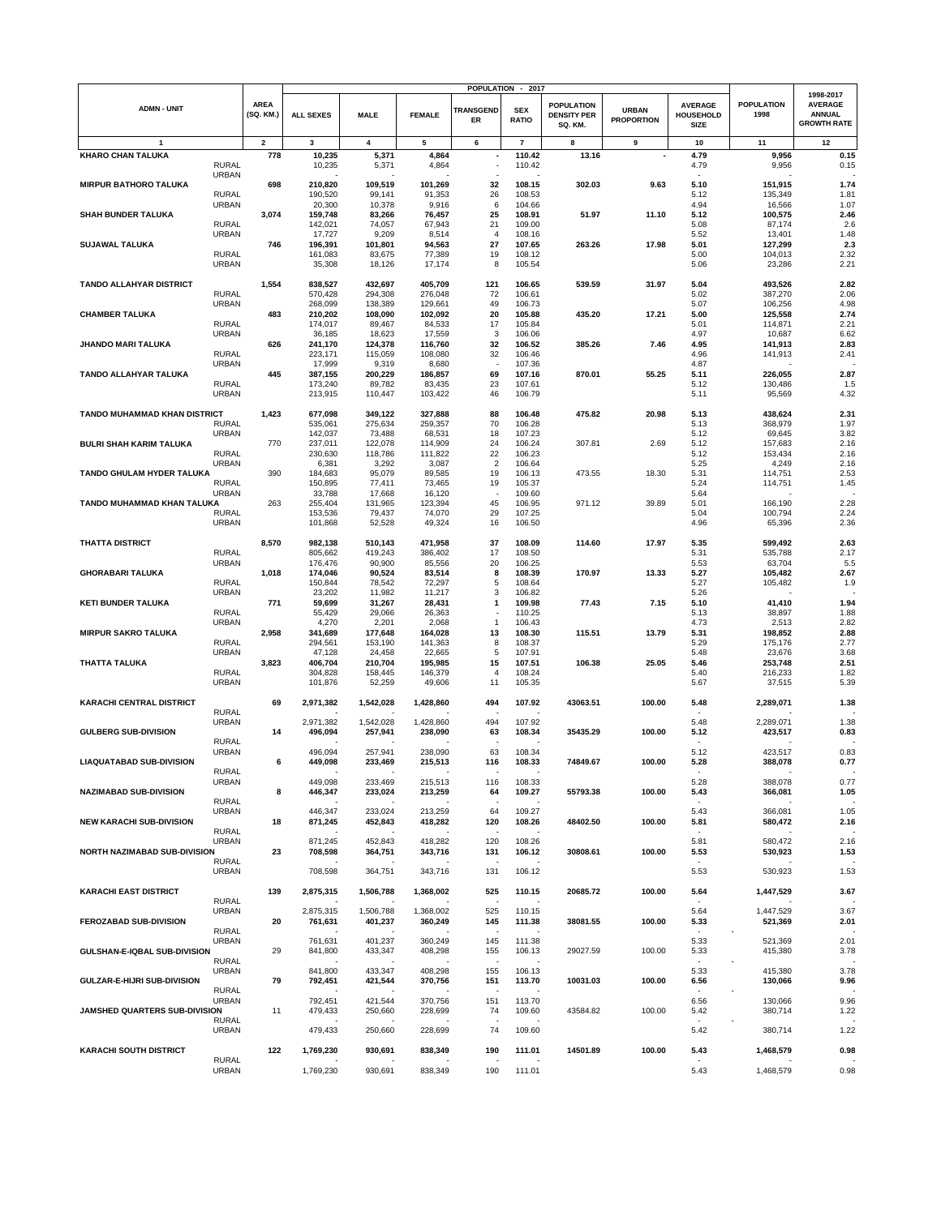|                                                  |                          |                    |                    |                    |                          | POPULATION - 2017          |                                                    |                                   |                                                   |                           |                                                                    |
|--------------------------------------------------|--------------------------|--------------------|--------------------|--------------------|--------------------------|----------------------------|----------------------------------------------------|-----------------------------------|---------------------------------------------------|---------------------------|--------------------------------------------------------------------|
| <b>ADMN - UNIT</b>                               | <b>AREA</b><br>(SQ. KM.) | <b>ALL SEXES</b>   | <b>MALE</b>        | <b>FEMALE</b>      | <b>TRANSGEND</b><br>ER   | <b>SEX</b><br><b>RATIO</b> | <b>POPULATION</b><br><b>DENSITY PER</b><br>SQ. KM. | <b>URBAN</b><br><b>PROPORTION</b> | <b>AVERAGE</b><br><b>HOUSEHOLD</b><br><b>SIZE</b> | <b>POPULATION</b><br>1998 | 1998-2017<br><b>AVERAGE</b><br><b>ANNUAL</b><br><b>GROWTH RATE</b> |
| $\mathbf{1}$                                     | $\mathbf{2}$             | 3                  | 4                  | 5                  | 6                        | $\overline{7}$             | 8                                                  | 9                                 | 10                                                | 11                        | 12                                                                 |
| <b>KHARO CHAN TALUKA</b>                         | 778                      | 10,235             | 5,371              | 4,864              | $\overline{\phantom{a}}$ | 110.42                     | 13.16                                              |                                   | 4.79                                              | 9,956                     | 0.15                                                               |
| <b>RURAL</b>                                     |                          | 10,235             | 5,371              | 4,864              |                          | 110.42                     |                                                    |                                   | 4.79                                              | 9,956                     | 0.15                                                               |
| <b>URBAN</b><br><b>MIRPUR BATHORO TALUKA</b>     | 698                      | 210,820            | 109,519            | 101,269            | 32                       | 108.15                     | 302.03                                             | 9.63                              | 5.10                                              | 151,915                   | 1.74                                                               |
| <b>RURAL</b>                                     |                          | 190,520            | 99,141             | 91,353             | 26                       | 108.53                     |                                                    |                                   | 5.12                                              | 135,349                   | 1.81                                                               |
| <b>URBAN</b>                                     |                          | 20,300             | 10,378             | 9,916              | 6                        | 104.66                     |                                                    |                                   | 4.94                                              | 16,566                    | 1.07                                                               |
| <b>SHAH BUNDER TALUKA</b>                        | 3,074                    | 159,748            | 83,266             | 76,457             | 25                       | 108.91                     | 51.97                                              | 11.10                             | 5.12                                              | 100,575                   | 2.46                                                               |
| <b>RURAL</b>                                     |                          | 142,021            | 74,057             | 67,943             | 21                       | 109.00                     |                                                    |                                   | 5.08                                              | 87,174                    | 2.6                                                                |
| <b>URBAN</b><br><b>SUJAWAL TALUKA</b>            | 746                      | 17,727<br>196,391  | 9,209<br>101,801   | 8,514<br>94,563    | $\overline{4}$<br>27     | 108.16<br>107.65           | 263.26                                             | 17.98                             | 5.52<br>5.01                                      | 13,401<br>127,299         | 1.48<br>2.3                                                        |
| <b>RURAL</b>                                     |                          | 161,083            | 83,675             | 77,389             | 19                       | 108.12                     |                                                    |                                   | 5.00                                              | 104,013                   | 2.32                                                               |
| <b>URBAN</b>                                     |                          | 35,308             | 18,126             | 17,174             | 8                        | 105.54                     |                                                    |                                   | 5.06                                              | 23,286                    | 2.21                                                               |
|                                                  |                          |                    |                    |                    |                          |                            |                                                    |                                   |                                                   |                           |                                                                    |
| <b>TANDO ALLAHYAR DISTRICT</b>                   | 1,554                    | 838,527            | 432,697            | 405,709            | 121                      | 106.65                     | 539.59                                             | 31.97                             | 5.04                                              | 493,526                   | 2.82                                                               |
| <b>RURAL</b><br><b>URBAN</b>                     |                          | 570,428<br>268,099 | 294,308<br>138,389 | 276,048<br>129,661 | 72<br>49                 | 106.61<br>106.73           |                                                    |                                   | 5.02<br>5.07                                      | 387,270<br>106,256        | 2.06<br>4.98                                                       |
| <b>CHAMBER TALUKA</b>                            | 483                      | 210,202            | 108,090            | 102,092            | 20                       | 105.88                     | 435.20                                             | 17.21                             | 5.00                                              | 125,558                   | 2.74                                                               |
| <b>RURAL</b>                                     |                          | 174,017            | 89,467             | 84,533             | 17                       | 105.84                     |                                                    |                                   | 5.01                                              | 114,871                   | 2.21                                                               |
| <b>URBAN</b>                                     |                          | 36,185             | 18,623             | 17,559             | 3                        | 106.06                     |                                                    |                                   | 4.97                                              | 10,687                    | 6.62                                                               |
| JHANDO MARI TALUKA<br><b>RURAL</b>               | 626                      | 241,170<br>223,171 | 124,378            | 116,760            | 32                       | 106.52                     | 385.26                                             | 7.46                              | 4.95<br>4.96                                      | 141,913                   | 2.83                                                               |
| URBAN                                            |                          | 17,999             | 115,059<br>9,319   | 108,080<br>8,680   | 32                       | 106.46<br>107.36           |                                                    |                                   | 4.87                                              | 141,913                   | 2.41                                                               |
| TANDO ALLAHYAR TALUKA                            | 445                      | 387,155            | 200,229            | 186,857            | 69                       | 107.16                     | 870.01                                             | 55.25                             | 5.11                                              | 226,055                   | 2.87                                                               |
| <b>RURAL</b>                                     |                          | 173,240            | 89,782             | 83,435             | 23                       | 107.61                     |                                                    |                                   | 5.12                                              | 130,486                   | 1.5                                                                |
| URBAN                                            |                          | 213,915            | 110,447            | 103,422            | 46                       | 106.79                     |                                                    |                                   | 5.11                                              | 95,569                    | 4.32                                                               |
| <b>TANDO MUHAMMAD KHAN DISTRICT</b>              | 1,423                    | 677,098            | 349,122            | 327,888            | 88                       | 106.48                     | 475.82                                             | 20.98                             | 5.13                                              |                           | 2.31                                                               |
| <b>RURAL</b>                                     |                          | 535,061            | 275,634            | 259,357            | 70                       | 106.28                     |                                                    |                                   | 5.13                                              | 438,624<br>368,979        | 1.97                                                               |
| URBAN                                            |                          | 142,037            | 73,488             | 68,531             | 18                       | 107.23                     |                                                    |                                   | 5.12                                              | 69,645                    | 3.82                                                               |
| <b>BULRI SHAH KARIM TALUKA</b>                   | 770                      | 237,011            | 122,078            | 114,909            | 24                       | 106.24                     | 307.81                                             | 2.69                              | 5.12                                              | 157,683                   | 2.16                                                               |
| <b>RURAL</b>                                     |                          | 230,630            | 118,786            | 111,822            | 22                       | 106.23                     |                                                    |                                   | 5.12                                              | 153,434                   | 2.16                                                               |
| <b>URBAN</b><br><b>TANDO GHULAM HYDER TALUKA</b> | 390                      | 6,381              | 3,292<br>95,079    | 3,087              | $\overline{2}$<br>19     | 106.64                     |                                                    | 18.30                             | 5.25                                              | 4,249                     | 2.16<br>2.53                                                       |
| <b>RURAL</b>                                     |                          | 184,683<br>150,895 | 77,411             | 89,585<br>73,465   | 19                       | 106.13<br>105.37           | 473.55                                             |                                   | 5.31<br>5.24                                      | 114,751<br>114,751        | 1.45                                                               |
| <b>URBAN</b>                                     |                          | 33,788             | 17,668             | 16,120             |                          | 109.60                     |                                                    |                                   | 5.64                                              |                           |                                                                    |
| TANDO MUHAMMAD KHAN TALUKA                       | 263                      | 255,404            | 131,965            | 123,394            | 45                       | 106.95                     | 971.12                                             | 39.89                             | 5.01                                              | 166,190                   | 2.28                                                               |
| <b>RURAL</b>                                     |                          | 153,536            | 79,437             | 74,070             | 29                       | 107.25                     |                                                    |                                   | 5.04                                              | 100,794                   | 2.24                                                               |
| URBAN                                            |                          | 101,868            | 52,528             | 49,324             | 16                       | 106.50                     |                                                    |                                   | 4.96                                              | 65,396                    | 2.36                                                               |
| <b>THATTA DISTRICT</b>                           | 8,570                    | 982,138            | 510,143            | 471,958            | 37                       | 108.09                     | 114.60                                             | 17.97                             | 5.35                                              | 599,492                   | 2.63                                                               |
| <b>RURAL</b>                                     |                          | 805,662            | 419,243            | 386,402            | 17                       | 108.50                     |                                                    |                                   | 5.31                                              | 535,788                   | 2.17                                                               |
| URBAN                                            |                          | 176,476            | 90,900             | 85,556             | 20                       | 106.25                     |                                                    |                                   | 5.53                                              | 63,704                    | 5.5                                                                |
| <b>GHORABARI TALUKA</b>                          | 1,018                    | 174,046            | 90,524             | 83,514             | 8                        | 108.39                     | 170.97                                             | 13.33                             | 5.27                                              | 105,482                   | 2.67                                                               |
| <b>RURAL</b><br>URBAN                            |                          | 150,844<br>23,202  | 78,542<br>11,982   | 72,297<br>11,217   | 5<br>3                   | 108.64<br>106.82           |                                                    |                                   | 5.27<br>5.26                                      | 105,482                   | 1.9                                                                |
| <b>KETI BUNDER TALUKA</b>                        | 771                      | 59,699             | 31,267             | 28,431             | 1                        | 109.98                     | 77.43                                              | 7.15                              | 5.10                                              | 41,410                    | 1.94                                                               |
| <b>RURAL</b>                                     |                          | 55,429             | 29,066             | 26,363             |                          | 110.25                     |                                                    |                                   | 5.13                                              | 38,897                    | 1.88                                                               |
| <b>URBAN</b>                                     |                          | 4,270              | 2,201              | 2,068              | $\mathbf{1}$             | 106.43                     |                                                    |                                   | 4.73                                              | 2,513                     | 2.82                                                               |
| <b>MIRPUR SAKRO TALUKA</b>                       | 2,958                    | 341,689            | 177,648            | 164,028            | 13                       | 108.30                     | 115.51                                             | 13.79                             | 5.31                                              | 198,852                   | 2.88                                                               |
| <b>RURAL</b><br>URBAN                            |                          | 294,561<br>47,128  | 153,190<br>24,458  | 141,363<br>22,665  | 8<br>5                   | 108.37<br>107.91           |                                                    |                                   | 5.29<br>5.48                                      | 175,176<br>23,676         | 2.77<br>3.68                                                       |
| <b>THATTA TALUKA</b>                             | 3,823                    | 406,704            | 210,704            | 195,985            | 15                       | 107.51                     | 106.38                                             | 25.05                             | 5.46                                              | 253,748                   | 2.51                                                               |
| <b>RURAL</b>                                     |                          | 304,828            | 158,445            | 146,379            | $\overline{4}$           | 108.24                     |                                                    |                                   | 5.40                                              | 216,233                   | 1.82                                                               |
| URBAN                                            |                          | 101,876            | 52,259             | 49,606             | 11                       | 105.35                     |                                                    |                                   | 5.67                                              | 37,515                    | 5.39                                                               |
| <b>KARACHI CENTRAL DISTRICT</b>                  | 69                       | 2,971,382          | 1,542,028          | 1,428,860          | 494                      | 107.92                     | 43063.51                                           | 100.00                            | 5.48                                              | 2,289,071                 | 1.38                                                               |
| <b>RURAL</b>                                     |                          |                    |                    |                    |                          |                            |                                                    |                                   |                                                   |                           |                                                                    |
| <b>URBAN</b>                                     |                          | 2,971,382          | 1,542,028          | 1,428,860          | 494                      | 107.92                     |                                                    |                                   | 5.48                                              | 2,289,071                 | 1.38                                                               |
| <b>GULBERG SUB-DIVISION</b>                      | 14                       | 496,094            | 257,941            | 238,090            | 63                       | 108.34                     | 35435.29                                           | 100.00                            | 5.12                                              | 423,517                   | 0.83                                                               |
| <b>RURAL</b>                                     |                          |                    |                    |                    |                          |                            |                                                    |                                   |                                                   |                           |                                                                    |
| <b>URBAN</b><br><b>LIAQUATABAD SUB-DIVISION</b>  | 6                        | 496,094            | 257,941            | 238.090            | 63<br>116                | 108.34<br>108.33           | 74849.67                                           | 100.00                            | 5.12<br>5.28                                      | 423,517                   | 0.83<br>0.77                                                       |
| RURAL                                            |                          | 449,098            | 233,469            | 215,513            |                          |                            |                                                    |                                   |                                                   | 388,078                   |                                                                    |
| <b>URBAN</b>                                     |                          | 449,098            | 233,469            | 215,513            | 116                      | 108.33                     |                                                    |                                   | 5.28                                              | 388,078                   | 0.77                                                               |
| <b>NAZIMABAD SUB-DIVISION</b>                    | 8                        | 446,347            | 233,024            | 213,259            | 64                       | 109.27                     | 55793.38                                           | 100.00                            | 5.43                                              | 366,081                   | 1.05                                                               |
| <b>RURAL</b>                                     |                          |                    |                    |                    |                          |                            |                                                    |                                   |                                                   |                           |                                                                    |
| <b>URBAN</b><br><b>NEW KARACHI SUB-DIVISION</b>  | 18                       | 446,347<br>871,245 | 233,024<br>452,843 | 213,259<br>418,282 | 64<br>120                | 109.27<br>108.26           | 48402.50                                           | 100.00                            | 5.43<br>5.81                                      | 366,081<br>580,472        | 1.05<br>2.16                                                       |
| <b>RURAL</b>                                     |                          |                    |                    |                    |                          |                            |                                                    |                                   |                                                   |                           |                                                                    |
| <b>URBAN</b>                                     |                          | 871,245            | 452,843            | 418,282            | 120                      | 108.26                     |                                                    |                                   | 5.81                                              | 580,472                   | 2.16                                                               |
| NORTH NAZIMABAD SUB-DIVISION                     | 23                       | 708,598            | 364,751            | 343,716            | 131                      | 106.12                     | 30808.61                                           | 100.00                            | 5.53                                              | 530,923                   | 1.53                                                               |
| <b>RURAL</b><br><b>URBAN</b>                     |                          | 708,598            | 364,751            | 343,716            | 131                      | 106.12                     |                                                    |                                   | 5.53                                              | 530,923                   | 1.53                                                               |
|                                                  |                          |                    |                    |                    |                          |                            |                                                    |                                   |                                                   |                           |                                                                    |
| <b>KARACHI EAST DISTRICT</b>                     | 139                      | 2,875,315          | 1,506,788          | 1,368,002          | 525                      | 110.15                     | 20685.72                                           | 100.00                            | 5.64                                              | 1,447,529                 | 3.67                                                               |
| <b>RURAL</b>                                     |                          |                    |                    |                    |                          |                            |                                                    |                                   |                                                   |                           |                                                                    |
| URBAN                                            |                          | 2,875,315          | 1,506,788          | 1,368,002          | 525                      | 110.15                     |                                                    |                                   | 5.64                                              | 1,447,529                 | 3.67                                                               |
| <b>FEROZABAD SUB-DIVISION</b><br><b>RURAL</b>    | 20                       | 761,631            | 401,237            | 360,249            | 145                      | 111.38                     | 38081.55                                           | 100.00                            | 5.33                                              | 521,369                   | 2.01                                                               |
| <b>URBAN</b>                                     |                          | 761,631            | 401,237            | 360.249            | 145                      | 111.38                     |                                                    |                                   | 5.33                                              | 521,369                   | 2.01                                                               |
| GULSHAN-E-IQBAL SUB-DIVISION                     | 29                       | 841,800            | 433,347            | 408,298            | 155                      | 106.13                     | 29027.59                                           | 100.00                            | 5.33                                              | 415,380                   | 3.78                                                               |
| <b>RURAL</b>                                     |                          |                    |                    |                    | ٠.                       |                            |                                                    |                                   | $\sim$                                            |                           |                                                                    |
| <b>URBAN</b><br>GULZAR-E-HIJRI SUB-DIVISION      | 79                       | 841,800            | 433,347            | 408,298            | 155                      | 106.13                     |                                                    |                                   | 5.33                                              | 415,380                   | 3.78                                                               |
| <b>RURAL</b>                                     |                          | 792,451            | 421,544            | 370,756            | 151                      | 113.70                     | 10031.03                                           | 100.00                            | 6.56                                              | 130,066                   | 9.96                                                               |
| <b>URBAN</b>                                     |                          | 792,451            | 421,544            | 370,756            | 151                      | 113.70                     |                                                    |                                   | 6.56                                              | 130,066                   | 9.96                                                               |
| JAMSHED QUARTERS SUB-DIVISION                    | 11                       | 479,433            | 250,660            | 228,699            | 74                       | 109.60                     | 43584.82                                           | 100.00                            | 5.42                                              | 380,714                   | 1.22                                                               |
| <b>RURAL</b>                                     |                          |                    |                    |                    |                          |                            |                                                    |                                   |                                                   |                           |                                                                    |
| <b>URBAN</b>                                     |                          | 479,433            | 250,660            | 228,699            | 74                       | 109.60                     |                                                    |                                   | 5.42                                              | 380,714                   | 1.22                                                               |
| <b>KARACHI SOUTH DISTRICT</b>                    | 122                      | 1,769,230          | 930,691            | 838,349            | 190                      | 111.01                     | 14501.89                                           | 100.00                            | 5.43                                              | 1,468,579                 | 0.98                                                               |
| <b>RURAL</b>                                     |                          |                    |                    |                    |                          |                            |                                                    |                                   |                                                   |                           |                                                                    |
| <b>URBAN</b>                                     |                          | 1,769,230          | 930,691            | 838,349            | 190                      | 111.01                     |                                                    |                                   | 5.43                                              | 1,468,579                 | 0.98                                                               |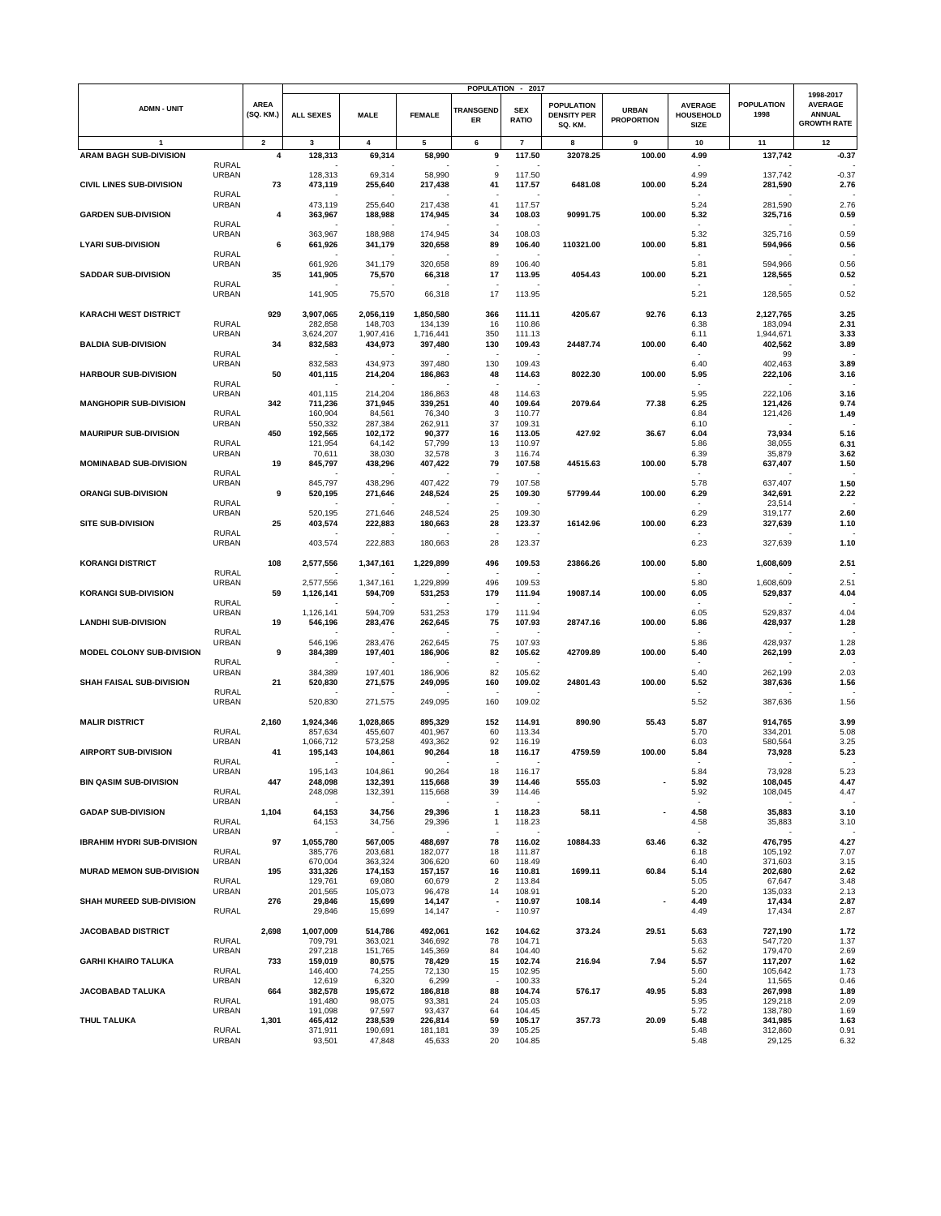|                                   |                              |                          |                      |                      |                      |                          | POPULATION - 2017        |                                                    |                                   |                                            |                           |                                                                    |
|-----------------------------------|------------------------------|--------------------------|----------------------|----------------------|----------------------|--------------------------|--------------------------|----------------------------------------------------|-----------------------------------|--------------------------------------------|---------------------------|--------------------------------------------------------------------|
| <b>ADMN - UNIT</b>                |                              | <b>AREA</b><br>(SQ. KM.) | <b>ALL SEXES</b>     | <b>MALE</b>          | <b>FEMALE</b>        | <b>TRANSGEND</b><br>ER   | <b>SEX</b><br>RATIO      | <b>POPULATION</b><br><b>DENSITY PER</b><br>SQ. KM. | <b>URBAN</b><br><b>PROPORTION</b> | <b>AVERAGE</b><br>HOUSEHOLD<br><b>SIZE</b> | <b>POPULATION</b><br>1998 | 1998-2017<br><b>AVERAGE</b><br><b>ANNUAL</b><br><b>GROWTH RATE</b> |
| $\mathbf{1}$                      |                              | $\overline{\mathbf{2}}$  | 3                    | 4                    | 5                    | 6                        | $\overline{\phantom{a}}$ | 8                                                  | 9                                 | 10                                         | 11                        | 12                                                                 |
| <b>ARAM BAGH SUB-DIVISION</b>     |                              | 4                        | 128,313              | 69,314               | 58,990               | 9                        | 117.50                   | 32078.25                                           | 100.00                            | 4.99                                       | 137,742                   | $-0.37$                                                            |
|                                   | <b>RURAL</b>                 |                          |                      |                      |                      |                          |                          |                                                    |                                   |                                            |                           |                                                                    |
|                                   | <b>URBAN</b>                 |                          | 128,313              | 69,314               | 58,990               | 9                        | 117.50                   |                                                    |                                   | 4.99                                       | 137,742                   | $-0.37$                                                            |
| <b>CIVIL LINES SUB-DIVISION</b>   |                              | 73                       | 473,119              | 255,640              | 217,438              | 41                       | 117.57                   | 6481.08                                            | 100.00                            | 5.24                                       | 281,590                   | 2.76                                                               |
|                                   | <b>RURAL</b>                 |                          |                      |                      |                      |                          |                          |                                                    |                                   |                                            |                           |                                                                    |
|                                   | <b>URBAN</b>                 |                          | 473,119              | 255,640              | 217,438              | 41                       | 117.57                   |                                                    |                                   | 5.24                                       | 281,590                   | 2.76                                                               |
| <b>GARDEN SUB-DIVISION</b>        |                              | 4                        | 363,967              | 188,988              | 174,945              | 34                       | 108.03                   | 90991.75                                           | 100.00                            | 5.32                                       | 325,716                   | 0.59                                                               |
|                                   | <b>RURAL</b><br><b>URBAN</b> |                          |                      |                      | 174,945              | 34                       | 108.03                   |                                                    |                                   | 5.32                                       |                           | 0.59                                                               |
| <b>LYARI SUB-DIVISION</b>         |                              | 6                        | 363,967<br>661,926   | 188,988<br>341,179   | 320.658              | 89                       | 106.40                   | 110321.00                                          | 100.00                            | 5.81                                       | 325,716<br>594,966        | 0.56                                                               |
|                                   | <b>RURAL</b>                 |                          |                      |                      |                      |                          |                          |                                                    |                                   |                                            |                           |                                                                    |
|                                   | <b>URBAN</b>                 |                          | 661,926              | 341,179              | 320,658              | 89                       | 106.40                   |                                                    |                                   | 5.81                                       | 594,966                   | 0.56                                                               |
| <b>SADDAR SUB-DIVISION</b>        |                              | 35                       | 141,905              | 75,570               | 66,318               | 17                       | 113.95                   | 4054.43                                            | 100.00                            | 5.21                                       | 128,565                   | 0.52                                                               |
|                                   | <b>RURAL</b>                 |                          |                      |                      |                      |                          |                          |                                                    |                                   |                                            |                           |                                                                    |
|                                   | <b>URBAN</b>                 |                          | 141,905              | 75,570               | 66,318               | 17                       | 113.95                   |                                                    |                                   | 5.21                                       | 128,565                   | 0.52                                                               |
|                                   |                              |                          |                      |                      |                      |                          |                          |                                                    |                                   |                                            |                           |                                                                    |
| <b>KARACHI WEST DISTRICT</b>      |                              | 929                      | 3,907,065            | 2,056,119            | 1,850,580            | 366                      | 111.11                   | 4205.67                                            | 92.76                             | 6.13                                       | 2,127,765                 | 3.25                                                               |
|                                   | <b>RURAL</b><br><b>URBAN</b> |                          | 282,858              | 148,703<br>1,907,416 | 134,139              | 16<br>350                | 110.86<br>111.13         |                                                    |                                   | 6.38<br>6.11                               | 183,094                   | 2.31                                                               |
| <b>BALDIA SUB-DIVISION</b>        |                              | 34                       | 3,624,207<br>832,583 | 434,973              | 1,716,441<br>397,480 | 130                      | 109.43                   | 24487.74                                           | 100.00                            | 6.40                                       | 1,944,671<br>402,562      | 3.33<br>3.89                                                       |
|                                   | <b>RURAL</b>                 |                          |                      |                      |                      |                          |                          |                                                    |                                   |                                            | 99                        |                                                                    |
|                                   | <b>URBAN</b>                 |                          | 832,583              | 434,973              | 397,480              | 130                      | 109.43                   |                                                    |                                   | 6.40                                       | 402,463                   | 3.89                                                               |
| <b>HARBOUR SUB-DIVISION</b>       |                              | 50                       | 401,115              | 214,204              | 186,863              | 48                       | 114.63                   | 8022.30                                            | 100.00                            | 5.95                                       | 222,106                   | 3.16                                                               |
|                                   | <b>RURAL</b>                 |                          |                      |                      |                      |                          |                          |                                                    |                                   |                                            |                           |                                                                    |
|                                   | <b>URBAN</b>                 |                          | 401,115              | 214,204              | 186,863              | 48                       | 114.63                   |                                                    |                                   | 5.95                                       | 222,106                   | 3.16                                                               |
| <b>MANGHOPIR SUB-DIVISION</b>     |                              | 342                      | 711,236              | 371,945              | 339,251              | 40                       | 109.64                   | 2079.64                                            | 77.38                             | 6.25                                       | 121,426                   | 9.74                                                               |
|                                   | <b>RURAL</b>                 |                          | 160,904              | 84,561               | 76,340               | 3                        | 110.77                   |                                                    |                                   | 6.84                                       | 121,426                   | 1.49                                                               |
|                                   | <b>URBAN</b>                 |                          | 550,332              | 287,384              | 262,911              | 37                       | 109.31                   |                                                    |                                   | 6.10                                       |                           |                                                                    |
| <b>MAURIPUR SUB-DIVISION</b>      | <b>RURAL</b>                 | 450                      | 192,565<br>121,954   | 102,172<br>64,142    | 90,377<br>57,799     | 16<br>13                 | 113.05<br>110.97         | 427.92                                             | 36.67                             | 6.04<br>5.86                               | 73,934<br>38,055          | 5.16<br>6.31                                                       |
|                                   | <b>URBAN</b>                 |                          | 70,611               | 38,030               | 32,578               | 3                        | 116.74                   |                                                    |                                   | 6.39                                       | 35,879                    | 3.62                                                               |
| <b>MOMINABAD SUB-DIVISION</b>     |                              | 19                       | 845,797              | 438,296              | 407,422              | 79                       | 107.58                   | 44515.63                                           | 100.00                            | 5.78                                       | 637,407                   | 1.50                                                               |
|                                   | <b>RURAL</b>                 |                          |                      |                      |                      |                          |                          |                                                    |                                   |                                            |                           |                                                                    |
|                                   | <b>URBAN</b>                 |                          | 845,797              | 438,296              | 407,422              | 79                       | 107.58                   |                                                    |                                   | 5.78                                       | 637,407                   | 1.50                                                               |
| <b>ORANGI SUB-DIVISION</b>        |                              | 9                        | 520,195              | 271,646              | 248,524              | 25                       | 109.30                   | 57799.44                                           | 100.00                            | 6.29                                       | 342,691                   | 2.22                                                               |
|                                   | <b>RURAL</b>                 |                          |                      |                      |                      |                          |                          |                                                    |                                   |                                            | 23,514                    |                                                                    |
|                                   | <b>URBAN</b>                 |                          | 520,195              | 271,646              | 248,524              | 25                       | 109.30                   |                                                    |                                   | 6.29                                       | 319,177                   | 2.60                                                               |
| <b>SITE SUB-DIVISION</b>          |                              | 25                       | 403,574              | 222,883              | 180.663              | 28                       | 123.37                   | 16142.96                                           | 100.00                            | 6.23                                       | 327,639                   | 1.10                                                               |
|                                   | <b>RURAL</b>                 |                          |                      |                      |                      |                          |                          |                                                    |                                   |                                            |                           |                                                                    |
|                                   | <b>URBAN</b>                 |                          | 403,574              | 222,883              | 180,663              | 28                       | 123.37                   |                                                    |                                   | 6.23                                       | 327,639                   | 1.10                                                               |
| <b>KORANGI DISTRICT</b>           |                              | 108                      | 2,577,556            | 1,347,161            | 1,229,899            | 496                      | 109.53                   | 23866.26                                           | 100.00                            | 5.80                                       | 1,608,609                 | 2.51                                                               |
|                                   | RURAL                        |                          |                      |                      |                      |                          |                          |                                                    |                                   |                                            |                           |                                                                    |
|                                   | <b>URBAN</b>                 |                          | 2,577,556            | 1,347,161            | 1,229,899            | 496                      | 109.53                   |                                                    |                                   | 5.80                                       | 1,608,609                 | 2.51                                                               |
| <b>KORANGI SUB-DIVISION</b>       |                              | 59                       | 1,126,141            | 594,709              | 531,253              | 179                      | 111.94                   | 19087.14                                           | 100.00                            | 6.05                                       | 529,837                   | 4.04                                                               |
|                                   | <b>RURAL</b>                 |                          |                      |                      |                      |                          |                          |                                                    |                                   |                                            |                           |                                                                    |
|                                   | <b>URBAN</b>                 |                          | 1,126,141            | 594,709              | 531,253              | 179                      | 111.94                   |                                                    |                                   | 6.05                                       | 529,837                   | 4.04                                                               |
| <b>LANDHI SUB-DIVISION</b>        |                              | 19                       | 546,196              | 283,476              | 262,645              | 75                       | 107.93                   | 28747.16                                           | 100.00                            | 5.86                                       | 428,937                   | 1.28                                                               |
|                                   | <b>RURAL</b>                 |                          |                      |                      |                      |                          |                          |                                                    |                                   |                                            |                           |                                                                    |
| MODEL COLONY SUB-DIVISION         | <b>URBAN</b>                 | 9                        | 546,196<br>384,389   | 283,476<br>197,401   | 262,645<br>186,906   | 75<br>82                 | 107.93<br>105.62         | 42709.89                                           | 100.00                            | 5.86<br>5.40                               | 428,937<br>262,199        | 1.28<br>2.03                                                       |
|                                   | <b>RURAL</b>                 |                          |                      |                      |                      |                          |                          |                                                    |                                   |                                            |                           |                                                                    |
|                                   | <b>URBAN</b>                 |                          | 384,389              | 197,401              | 186,906              | 82                       | 105.62                   |                                                    |                                   | 5.40                                       | 262,199                   | 2.03                                                               |
| SHAH FAISAL SUB-DIVISION          |                              | 21                       | 520,830              | 271,575              | 249,095              | 160                      | 109.02                   | 24801.43                                           | 100.00                            | 5.52                                       | 387,636                   | 1.56                                                               |
|                                   | <b>RURAL</b>                 |                          |                      |                      |                      |                          |                          |                                                    |                                   |                                            |                           |                                                                    |
|                                   | <b>URBAN</b>                 |                          | 520,830              | 271,575              | 249,095              | 160                      | 109.02                   |                                                    |                                   | 5.52                                       | 387,636                   | 1.56                                                               |
|                                   |                              |                          |                      |                      |                      |                          |                          |                                                    |                                   |                                            |                           |                                                                    |
| <b>MALIR DISTRICT</b>             |                              | 2,160                    | 1,924,346            | 1,028,865            | 895,329              | 152                      | 114.91                   | 890.90                                             | 55.43                             | 5.87                                       | 914,765                   | 3.99                                                               |
|                                   | <b>RURAL</b><br>URBAN        |                          | 857,634<br>1,066,712 | 455,607<br>573,258   | 401,967<br>493,362   | 60<br>92                 | 113.34<br>116.19         |                                                    |                                   | 5.70<br>6.03                               | 334,201<br>580,564        | 5.08<br>3.25                                                       |
| <b>AIRPORT SUB-DIVISION</b>       |                              | 41                       | 195,143              | 104,861              | 90,264               | 18                       | 116.17                   | 4759.59                                            | 100.00                            | 5.84                                       | 73,928                    | 5.23                                                               |
|                                   | <b>RURAL</b>                 |                          |                      |                      |                      |                          |                          |                                                    |                                   |                                            |                           |                                                                    |
|                                   | URBAN                        |                          | 195,143              | 104,861              | 90,264               | 18                       | 116.17                   |                                                    |                                   | 5.84                                       | 73,928                    | 5.23                                                               |
| <b>BIN QASIM SUB-DIVISION</b>     |                              | 447                      | 248,098              | 132,391              | 115,668              | 39                       | 114.46                   | 555.03                                             |                                   | 5.92                                       | 108,045                   | 4.47                                                               |
|                                   | <b>RURAL</b>                 |                          | 248,098              | 132,391              | 115,668              | 39                       | 114.46                   |                                                    |                                   | 5.92                                       | 108,045                   | 4.47                                                               |
|                                   | <b>URBAN</b>                 |                          |                      |                      |                      |                          |                          |                                                    |                                   |                                            |                           |                                                                    |
| <b>GADAP SUB-DIVISION</b>         |                              | 1,104                    | 64,153               | 34,756               | 29,396               | 1                        | 118.23                   | 58.11                                              |                                   | 4.58                                       | 35,883                    | 3.10                                                               |
|                                   | <b>RURAL</b><br><b>URBAN</b> |                          | 64,153               | 34,756               | 29,396               | $\mathbf{1}$             | 118.23                   |                                                    |                                   | 4.58                                       | 35,883                    | 3.10                                                               |
| <b>IBRAHIM HYDRI SUB-DIVISION</b> |                              | 97                       | 1,055,780            | 567,005              | 488,697              | 78                       | 116.02                   | 10884.33                                           | 63.46                             | 6.32                                       | 476,795                   | 4.27                                                               |
|                                   | <b>RURAL</b>                 |                          | 385,776              | 203,681              | 182,077              | 18                       | 111.87                   |                                                    |                                   | 6.18                                       | 105,192                   | 7.07                                                               |
|                                   | <b>URBAN</b>                 |                          | 670,004              | 363,324              | 306,620              | 60                       | 118.49                   |                                                    |                                   | 6.40                                       | 371,603                   | 3.15                                                               |
| <b>MURAD MEMON SUB-DIVISION</b>   |                              | 195                      | 331,326              | 174,153              | 157,157              | 16                       | 110.81                   | 1699.11                                            | 60.84                             | 5.14                                       | 202,680                   | 2.62                                                               |
|                                   | <b>RURAL</b>                 |                          | 129,761              | 69,080               | 60,679               | $\overline{2}$           | 113.84                   |                                                    |                                   | 5.05                                       | 67,647                    | 3.48                                                               |
|                                   | <b>URBAN</b>                 |                          | 201,565              | 105,073              | 96,478               | 14                       | 108.91                   |                                                    |                                   | 5.20                                       | 135,033                   | 2.13                                                               |
| <b>SHAH MUREED SUB-DIVISION</b>   |                              | 276                      | 29,846               | 15,699               | 14,147               |                          | 110.97                   | 108.14                                             |                                   | 4.49                                       | 17,434                    | 2.87                                                               |
|                                   | <b>RURAL</b>                 |                          | 29,846               | 15,699               | 14,147               | $\overline{\phantom{a}}$ | 110.97                   |                                                    |                                   | 4.49                                       | 17,434                    | 2.87                                                               |
| <b>JACOBABAD DISTRICT</b>         |                              | 2,698                    | 1,007,009            | 514,786              | 492,061              | 162                      | 104.62                   | 373.24                                             | 29.51                             | 5.63                                       | 727,190                   | 1.72                                                               |
|                                   | <b>RURAL</b>                 |                          | 709,791              | 363,021              | 346,692              | 78                       | 104.71                   |                                                    |                                   | 5.63                                       | 547,720                   | 1.37                                                               |
|                                   | <b>URBAN</b>                 |                          | 297,218              | 151,765              | 145,369              | 84                       | 104.40                   |                                                    |                                   | 5.62                                       | 179,470                   | 2.69                                                               |
| <b>GARHI KHAIRO TALUKA</b>        |                              | 733                      | 159,019              | 80,575               | 78,429               | 15                       | 102.74                   | 216.94                                             | 7.94                              | 5.57                                       | 117,207                   | 1.62                                                               |
|                                   | <b>RURAL</b>                 |                          | 146,400              | 74,255               | 72,130               | 15                       | 102.95                   |                                                    |                                   | 5.60                                       | 105,642                   | 1.73                                                               |
|                                   | <b>URBAN</b>                 |                          | 12,619               | 6,320                | 6,299                |                          | 100.33                   |                                                    |                                   | 5.24                                       | 11,565                    | 0.46                                                               |
| JACOBABAD TALUKA                  |                              | 664                      | 382,578              | 195,672              | 186,818              | 88                       | 104.74                   | 576.17                                             | 49.95                             | 5.83                                       | 267,998                   | 1.89                                                               |
|                                   | <b>RURAL</b><br><b>URBAN</b> |                          | 191,480<br>191,098   | 98,075<br>97,597     | 93,381<br>93,437     | 24<br>64                 | 105.03                   |                                                    |                                   | 5.95<br>5.72                               | 129,218                   | 2.09<br>1.69                                                       |
| THUL TALUKA                       |                              | 1,301                    | 465,412              | 238,539              | 226,814              | 59                       | 104.45<br>105.17         | 357.73                                             | 20.09                             | 5.48                                       | 138,780<br>341,985        | 1.63                                                               |
|                                   | <b>RURAL</b>                 |                          | 371,911              | 190,691              | 181,181              | 39                       | 105.25                   |                                                    |                                   | 5.48                                       | 312,860                   | 0.91                                                               |
|                                   | <b>URBAN</b>                 |                          | 93,501               | 47,848               | 45,633               | 20                       | 104.85                   |                                                    |                                   | 5.48                                       | 29,125                    | 6.32                                                               |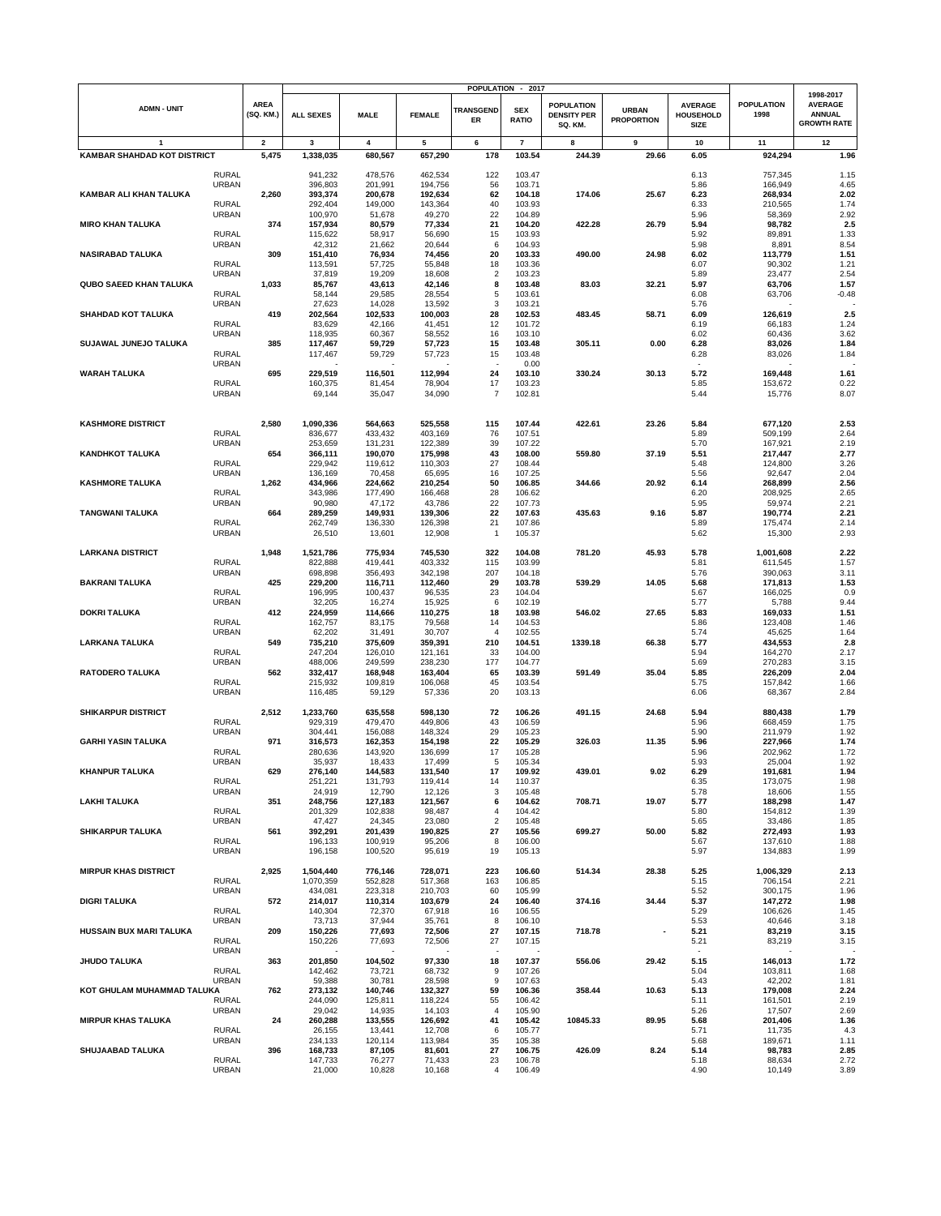|                                    |                              |                          |                      |                    |                    |                          | POPULATION - 2017          |                                                    |                                   |                                                   |                           |                                                                    |
|------------------------------------|------------------------------|--------------------------|----------------------|--------------------|--------------------|--------------------------|----------------------------|----------------------------------------------------|-----------------------------------|---------------------------------------------------|---------------------------|--------------------------------------------------------------------|
| <b>ADMN - UNIT</b>                 |                              | <b>AREA</b><br>(SQ. KM.) | <b>ALL SEXES</b>     | <b>MALE</b>        | <b>FEMALE</b>      | <b>TRANSGEND</b><br>ER   | <b>SEX</b><br><b>RATIO</b> | <b>POPULATION</b><br><b>DENSITY PER</b><br>SQ. KM. | <b>URBAN</b><br><b>PROPORTION</b> | <b>AVERAGE</b><br><b>HOUSEHOLD</b><br><b>SIZE</b> | <b>POPULATION</b><br>1998 | 1998-2017<br><b>AVERAGE</b><br><b>ANNUAL</b><br><b>GROWTH RATE</b> |
| $\mathbf{1}$                       |                              | $\overline{\mathbf{2}}$  | 3                    | 4                  | 5                  | 6                        | $\overline{7}$             | 8                                                  | 9                                 | 10                                                | 11                        | 12                                                                 |
| <b>KAMBAR SHAHDAD KOT DISTRICT</b> |                              | 5,475                    | 1,338,035            | 680,567            | 657,290            | 178                      | 103.54                     | 244.39                                             | 29.66                             | 6.05                                              | 924,294                   | 1.96                                                               |
|                                    | <b>RURAL</b>                 |                          | 941,232              | 478,576            | 462,534            | 122                      | 103.47                     |                                                    |                                   | 6.13                                              |                           | 1.15                                                               |
|                                    | <b>URBAN</b>                 |                          | 396,803              | 201,991            | 194,756            | 56                       | 103.71                     |                                                    |                                   | 5.86                                              | 757,345<br>166,949        | 4.65                                                               |
| KAMBAR ALI KHAN TALUKA             |                              | 2,260                    | 393,374              | 200,678            | 192,634            | 62                       | 104.18                     | 174.06                                             | 25.67                             | 6.23                                              | 268,934                   | 2.02                                                               |
|                                    | <b>RURAL</b>                 |                          | 292,404              | 149,000            | 143,364            | 40                       | 103.93                     |                                                    |                                   | 6.33                                              | 210,565                   | 1.74                                                               |
|                                    | <b>URBAN</b>                 | 374                      | 100,970              | 51,678<br>80,579   | 49,270<br>77,334   | 22<br>21                 | 104.89                     |                                                    |                                   | 5.96<br>5.94                                      | 58,369<br>98,782          | 2.92<br>2.5                                                        |
| <b>MIRO KHAN TALUKA</b>            | <b>RURAL</b>                 |                          | 157,934<br>115,622   | 58,917             | 56,690             | 15                       | 104.20<br>103.93           | 422.28                                             | 26.79                             | 5.92                                              | 89,891                    | 1.33                                                               |
|                                    | <b>URBAN</b>                 |                          | 42,312               | 21,662             | 20,644             | 6                        | 104.93                     |                                                    |                                   | 5.98                                              | 8,891                     | 8.54                                                               |
| <b>NASIRABAD TALUKA</b>            |                              | 309                      | 151,410              | 76,934             | 74,456             | 20                       | 103.33                     | 490.00                                             | 24.98                             | 6.02                                              | 113,779                   | 1.51                                                               |
|                                    | <b>RURAL</b><br><b>URBAN</b> |                          | 113,591<br>37,819    | 57,725<br>19,209   | 55,848<br>18,608   | 18<br>$\overline{2}$     | 103.36<br>103.23           |                                                    |                                   | 6.07<br>5.89                                      | 90,302<br>23,477          | 1.21<br>2.54                                                       |
| <b>QUBO SAEED KHAN TALUKA</b>      |                              | 1,033                    | 85,767               | 43,613             | 42,146             | 8                        | 103.48                     | 83.03                                              | 32.21                             | 5.97                                              | 63,706                    | 1.57                                                               |
|                                    | <b>RURAL</b>                 |                          | 58,144               | 29,585             | 28,554             | 5                        | 103.61                     |                                                    |                                   | 6.08                                              | 63,706                    | $-0.48$                                                            |
|                                    | <b>URBAN</b>                 |                          | 27,623               | 14,028             | 13,592             | 3                        | 103.21                     |                                                    |                                   | 5.76                                              |                           |                                                                    |
| <b>SHAHDAD KOT TALUKA</b>          | <b>RURAL</b>                 | 419                      | 202,564<br>83,629    | 102,533<br>42,166  | 100,003<br>41,451  | 28<br>12                 | 102.53<br>101.72           | 483.45                                             | 58.71                             | 6.09<br>6.19                                      | 126,619<br>66,183         | 2.5<br>1.24                                                        |
|                                    | <b>URBAN</b>                 |                          | 118,935              | 60,367             | 58,552             | 16                       | 103.10                     |                                                    |                                   | 6.02                                              | 60,436                    | 3.62                                                               |
| SUJAWAL JUNEJO TALUKA              |                              | 385                      | 117,467              | 59,729             | 57,723             | 15                       | 103.48                     | 305.11                                             | 0.00                              | 6.28                                              | 83,026                    | 1.84                                                               |
|                                    | <b>RURAL</b>                 |                          | 117,467              | 59,729             | 57,723             | 15                       | 103.48                     |                                                    |                                   | 6.28                                              | 83,026                    | 1.84                                                               |
| <b>WARAH TALUKA</b>                | <b>URBAN</b>                 | 695                      | 229,519              | 116,501            | 112,994            | 24                       | 0.00<br>103.10             | 330.24                                             | 30.13                             | 5.72                                              | 169,448                   | 1.61                                                               |
|                                    | <b>RURAL</b>                 |                          | 160,375              | 81,454             | 78,904             | 17                       | 103.23                     |                                                    |                                   | 5.85                                              | 153,672                   | 0.22                                                               |
|                                    | <b>URBAN</b>                 |                          | 69,144               | 35,047             | 34,090             | $\overline{7}$           | 102.81                     |                                                    |                                   | 5.44                                              | 15,776                    | 8.07                                                               |
|                                    |                              |                          |                      |                    |                    |                          |                            |                                                    |                                   |                                                   |                           |                                                                    |
| <b>KASHMORE DISTRICT</b>           |                              | 2,580                    | 1,090,336            | 564,663            | 525,558            | 115                      | 107.44                     | 422.61                                             | 23.26                             | 5.84                                              | 677,120                   | 2.53                                                               |
|                                    | <b>RURAL</b>                 |                          | 836,677              | 433,432            | 403,169            | 76                       | 107.51                     |                                                    |                                   | 5.89                                              | 509,199                   | 2.64                                                               |
|                                    | <b>URBAN</b>                 |                          | 253,659              | 131,231            | 122,389            | 39                       | 107.22                     |                                                    |                                   | 5.70                                              | 167,921                   | 2.19                                                               |
| <b>KANDHKOT TALUKA</b>             |                              | 654                      | 366,111              | 190,070            | 175,998            | 43                       | 108.00                     | 559.80                                             | 37.19                             | 5.51                                              | 217,447                   | 2.77                                                               |
|                                    | <b>RURAL</b>                 |                          | 229,942              | 119,612            | 110,303            | 27                       | 108.44                     |                                                    |                                   | 5.48                                              | 124,800                   | 3.26<br>2.04                                                       |
| <b>KASHMORE TALUKA</b>             | <b>URBAN</b>                 | 1,262                    | 136,169<br>434,966   | 70,458<br>224,662  | 65,695<br>210,254  | 16<br>50                 | 107.25<br>106.85           | 344.66                                             | 20.92                             | 5.56<br>6.14                                      | 92,647<br>268,899         | 2.56                                                               |
|                                    | <b>RURAL</b>                 |                          | 343,986              | 177,490            | 166,468            | 28                       | 106.62                     |                                                    |                                   | 6.20                                              | 208,925                   | 2.65                                                               |
|                                    | <b>URBAN</b>                 |                          | 90,980               | 47,172             | 43,786             | 22                       | 107.73                     |                                                    |                                   | 5.95                                              | 59,974                    | 2.21                                                               |
| <b>TANGWANI TALUKA</b>             |                              | 664                      | 289,259              | 149,931            | 139,306            | 22                       | 107.63                     | 435.63                                             | 9.16                              | 5.87                                              | 190,774                   | 2.21                                                               |
|                                    | <b>RURAL</b><br><b>URBAN</b> |                          | 262,749<br>26,510    | 136,330<br>13,601  | 126,398<br>12,908  | 21<br>$\overline{1}$     | 107.86<br>105.37           |                                                    |                                   | 5.89<br>5.62                                      | 175,474<br>15,300         | 2.14<br>2.93                                                       |
|                                    |                              |                          |                      |                    |                    |                          |                            |                                                    |                                   |                                                   |                           |                                                                    |
| <b>LARKANA DISTRICT</b>            |                              | 1,948                    | 1,521,786            | 775,934            | 745,530            | 322                      | 104.08                     | 781.20                                             | 45.93                             | 5.78                                              | 1,001,608                 | 2.22                                                               |
|                                    | <b>RURAL</b>                 |                          | 822,888              | 419,441            | 403,332            | 115                      | 103.99                     |                                                    |                                   | 5.81                                              | 611,545                   | 1.57                                                               |
| <b>BAKRANI TALUKA</b>              | <b>URBAN</b>                 | 425                      | 698,898<br>229,200   | 356,493<br>116,711 | 342,198<br>112,460 | 207<br>29                | 104.18<br>103.78           | 539.29                                             | 14.05                             | 5.76<br>5.68                                      | 390,063<br>171,813        | 3.11<br>1.53                                                       |
|                                    | <b>RURAL</b>                 |                          | 196,995              | 100,437            | 96,535             | 23                       | 104.04                     |                                                    |                                   | 5.67                                              | 166,025                   | 0.9                                                                |
|                                    | <b>URBAN</b>                 |                          | 32,205               | 16,274             | 15,925             | 6                        | 102.19                     |                                                    |                                   | 5.77                                              | 5,788                     | 9.44                                                               |
| <b>DOKRI TALUKA</b>                |                              | 412                      | 224,959              | 114,666            | 110,275            | 18                       | 103.98                     | 546.02                                             | 27.65                             | 5.83                                              | 169,033                   | 1.51                                                               |
|                                    | <b>RURAL</b>                 |                          | 162,757              | 83,175             | 79,568             | 14                       | 104.53                     |                                                    |                                   | 5.86                                              | 123,408                   | 1.46                                                               |
| <b>LARKANA TALUKA</b>              | <b>URBAN</b>                 | 549                      | 62,202<br>735,210    | 31,491<br>375,609  | 30,707<br>359,391  | $\overline{4}$<br>210    | 102.55<br>104.51           | 1339.18                                            | 66.38                             | 5.74<br>5.77                                      | 45,625<br>434,553         | 1.64<br>2.8                                                        |
|                                    | <b>RURAL</b>                 |                          | 247,204              | 126,010            | 121,161            | 33                       | 104.00                     |                                                    |                                   | 5.94                                              | 164,270                   | 2.17                                                               |
|                                    | <b>URBAN</b>                 |                          | 488,006              | 249,599            | 238,230            | 177                      | 104.77                     |                                                    |                                   | 5.69                                              | 270,283                   | 3.15                                                               |
| <b>RATODERO TALUKA</b>             |                              | 562                      | 332,417              | 168,948            | 163,404            | 65                       | 103.39                     | 591.49                                             | 35.04                             | 5.85                                              | 226,209                   | 2.04                                                               |
|                                    | <b>RURAL</b><br><b>URBAN</b> |                          | 215,932<br>116,485   | 109,819<br>59,129  | 106,068<br>57,336  | 45<br>20                 | 103.54<br>103.13           |                                                    |                                   | 5.75<br>6.06                                      | 157,842<br>68,367         | 1.66<br>2.84                                                       |
|                                    |                              |                          |                      |                    |                    |                          |                            |                                                    |                                   |                                                   |                           |                                                                    |
| <b>SHIKARPUR DISTRICT</b>          |                              | 2,512                    | 1,233,760            | 635,558            | 598,130            | 72                       | 106.26                     | 491.15                                             | 24.68                             | 5.94                                              | 880,438                   | 1.79                                                               |
|                                    | <b>RURAL</b><br><b>URBAN</b> |                          | 929,319<br>304,441   | 479,470<br>156,088 | 449,806            | 43<br>29                 | 106.59<br>105.23           |                                                    |                                   | 5.96<br>5.90                                      | 668,459<br>211,979        | 1.75<br>1.92                                                       |
| <b>GARHI YASIN TALUKA</b>          |                              | 971                      | 316,573              | 162,353            | 148,324<br>154,198 | 22                       | 105.29                     | 326.03                                             | 11.35                             | 5.96                                              | 227,966                   | 1.74                                                               |
|                                    | <b>RURAL</b>                 |                          | 280,636              | 143,920            | 136,699            | 17                       | 105.28                     |                                                    |                                   | 5.96                                              | 202,962                   | 1.72                                                               |
|                                    | <b>URBAN</b>                 |                          | 35,937               | 18,433             | 17,499             | 5                        | 105.34                     |                                                    |                                   | 5.93                                              | 25,004                    | 1.92                                                               |
| KHANPUR TALUKA                     |                              | 629                      | 276,140              | 144,583            | 131,540            | 17                       | 109.92                     | 439.01                                             | 9.02                              | 6.29                                              | 191,681                   | 1.94                                                               |
|                                    | <b>RURAL</b><br>URBAN        |                          | 251,221<br>24,919    | 131,793<br>12,790  | 119,414<br>12,126  | 14<br>3                  | 110.37<br>105.48           |                                                    |                                   | 6.35<br>5.78                                      | 173,075<br>18,606         | 1.98<br>1.55                                                       |
| <b>LAKHI TALUKA</b>                |                              | 351                      | 248,756              | 127,183            | 121,567            | 6                        | 104.62                     | 708.71                                             | 19.07                             | 5.77                                              | 188,298                   | 1.47                                                               |
|                                    | <b>RURAL</b>                 |                          | 201,329              | 102,838            | 98,487             | 4                        | 104.42                     |                                                    |                                   | 5.80                                              | 154,812                   | 1.39                                                               |
| <b>SHIKARPUR TALUKA</b>            | <b>URBAN</b>                 |                          | 47,427               | 24,345             | 23,080             | $\overline{2}$           | 105.48                     |                                                    |                                   | 5.65                                              | 33,486                    | 1.85                                                               |
|                                    | <b>RURAL</b>                 | 561                      | 392,291<br>196,133   | 201,439<br>100,919 | 190,825<br>95,206  | 27<br>8                  | 105.56<br>106.00           | 699.27                                             | 50.00                             | 5.82<br>5.67                                      | 272,493<br>137,610        | 1.93<br>1.88                                                       |
|                                    | <b>URBAN</b>                 |                          | 196,158              | 100,520            | 95,619             | 19                       | 105.13                     |                                                    |                                   | 5.97                                              | 134,883                   | 1.99                                                               |
|                                    |                              |                          |                      |                    |                    |                          |                            |                                                    |                                   |                                                   |                           |                                                                    |
| <b>MIRPUR KHAS DISTRICT</b>        |                              | 2,925                    | 1,504,440            | 776,146            | 728,071            | 223                      | 106.60                     | 514.34                                             | 28.38                             | 5.25                                              | 1,006,329                 | 2.13                                                               |
|                                    | <b>RURAL</b><br><b>URBAN</b> |                          | 1,070,359<br>434,081 | 552,828<br>223,318 | 517,368<br>210,703 | 163<br>60                | 106.85<br>105.99           |                                                    |                                   | 5.15<br>5.52                                      | 706,154<br>300,175        | 2.21<br>1.96                                                       |
| <b>DIGRI TALUKA</b>                |                              | 572                      | 214,017              | 110,314            | 103,679            | 24                       | 106.40                     | 374.16                                             | 34.44                             | 5.37                                              | 147,272                   | 1.98                                                               |
|                                    | <b>RURAL</b>                 |                          | 140,304              | 72,370             | 67,918             | 16                       | 106.55                     |                                                    |                                   | 5.29                                              | 106,626                   | 1.45                                                               |
|                                    | URBAN                        |                          | 73,713               | 37,944             | 35,761             | 8                        | 106.10                     |                                                    |                                   | 5.53                                              | 40,646                    | 3.18                                                               |
| HUSSAIN BUX MARI TALUKA            | <b>RURAL</b>                 | 209                      | 150,226<br>150,226   | 77,693<br>77,693   | 72,506<br>72,506   | 27<br>27                 | 107.15<br>107.15           | 718.78                                             |                                   | 5.21<br>5.21                                      | 83,219<br>83,219          | 3.15<br>3.15                                                       |
|                                    | <b>URBAN</b>                 |                          |                      |                    |                    | $\overline{\phantom{a}}$ |                            |                                                    |                                   |                                                   |                           |                                                                    |
| JHUDO TALUKA                       |                              | 363                      | 201,850              | 104,502            | 97,330             | 18                       | 107.37                     | 556.06                                             | 29.42                             | 5.15                                              | 146,013                   | 1.72                                                               |
|                                    | <b>RURAL</b>                 |                          | 142,462              | 73,721             | 68,732             | 9                        | 107.26                     |                                                    |                                   | 5.04                                              | 103,811                   | 1.68                                                               |
|                                    | <b>URBAN</b>                 |                          | 59,388               | 30,781             | 28,598             | 9                        | 107.63                     |                                                    |                                   | 5.43                                              | 42,202                    | 1.81                                                               |
| KOT GHULAM MUHAMMAD TALUKA         | RURAL                        | 762                      | 273,132<br>244,090   | 140,746<br>125,811 | 132,327<br>118,224 | 59<br>55                 | 106.36<br>106.42           | 358.44                                             | 10.63                             | 5.13<br>5.11                                      | 179,008<br>161,501        | 2.24<br>2.19                                                       |
|                                    | <b>URBAN</b>                 |                          | 29,042               | 14,935             | 14,103             | 4                        | 105.90                     |                                                    |                                   | 5.26                                              | 17,507                    | 2.69                                                               |
| <b>MIRPUR KHAS TALUKA</b>          |                              | 24                       | 260,288              | 133,555            | 126,692            | 41                       | 105.42                     | 10845.33                                           | 89.95                             | 5.68                                              | 201,406                   | 1.36                                                               |
|                                    | RURAL                        |                          | 26,155               | 13,441             | 12,708             | 6                        | 105.77                     |                                                    |                                   | 5.71                                              | 11,735                    | 4.3                                                                |
| SHUJAABAD TALUKA                   | URBAN                        | 396                      | 234,133<br>168,733   | 120,114<br>87,105  | 113,984<br>81,601  | 35<br>27                 | 105.38<br>106.75           | 426.09                                             | 8.24                              | 5.68<br>5.14                                      | 189,671<br>98,783         | 1.11<br>2.85                                                       |
|                                    | <b>RURAL</b>                 |                          | 147,733              | 76,277             | 71,433             | 23                       | 106.78                     |                                                    |                                   | 5.18                                              | 88,634                    | 2.72                                                               |
|                                    | <b>URBAN</b>                 |                          | 21,000               | 10,828             | 10,168             | 4                        | 106.49                     |                                                    |                                   | 4.90                                              | 10,149                    | 3.89                                                               |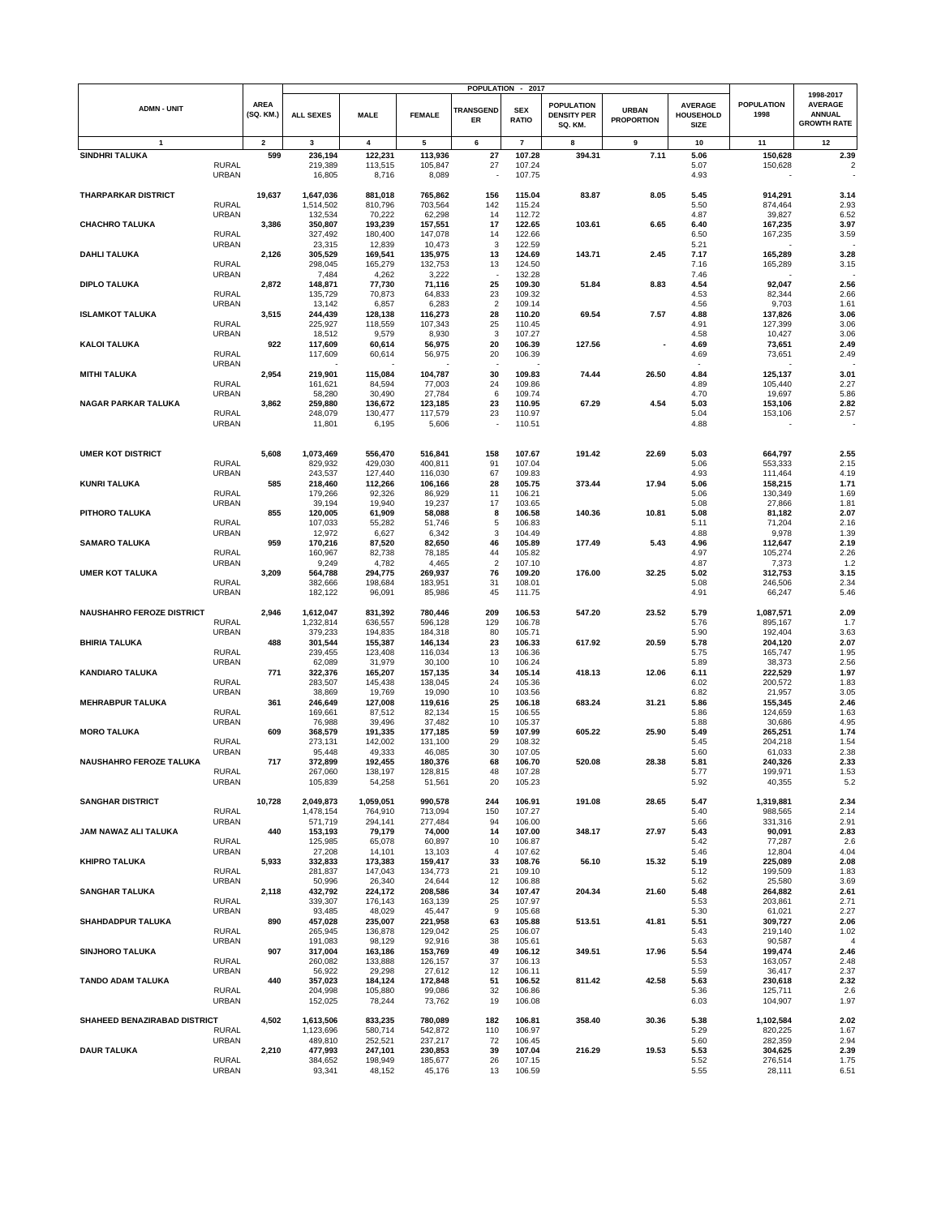|                                  |                              |                          |                      |                    |                    |                        | POPULATION - 2017          |                                                    |                                   |                                            |                           | 1998-2017                                             |
|----------------------------------|------------------------------|--------------------------|----------------------|--------------------|--------------------|------------------------|----------------------------|----------------------------------------------------|-----------------------------------|--------------------------------------------|---------------------------|-------------------------------------------------------|
| <b>ADMN - UNIT</b>               |                              | <b>AREA</b><br>(SQ. KM.) | <b>ALL SEXES</b>     | <b>MALE</b>        | <b>FEMALE</b>      | <b>TRANSGEND</b><br>ER | <b>SEX</b><br><b>RATIO</b> | <b>POPULATION</b><br><b>DENSITY PER</b><br>SQ. KM. | <b>URBAN</b><br><b>PROPORTION</b> | <b>AVERAGE</b><br><b>HOUSEHOLD</b><br>SIZE | <b>POPULATION</b><br>1998 | <b>AVERAGE</b><br><b>ANNUAL</b><br><b>GROWTH RATE</b> |
| 1                                |                              | $\mathbf{2}$             | 3                    | 4                  | 5                  | 6                      | $\overline{7}$             | 8                                                  | 9                                 | 10                                         | 11                        | 12                                                    |
| <b>SINDHRI TALUKA</b>            |                              | 599                      | 236,194              | 122,231            | 113,936            | 27                     | 107.28                     | 394.31                                             | 7.11                              | 5.06                                       | 150,628                   | 2.39                                                  |
|                                  | <b>RURAL</b><br><b>URBAN</b> |                          | 219,389<br>16,805    | 113,515<br>8,716   | 105,847<br>8,089   | 27                     | 107.24<br>107.75           |                                                    |                                   | 5.07<br>4.93                               | 150,628                   | $\mathfrak{p}$                                        |
| <b>THARPARKAR DISTRICT</b>       |                              | 19,637                   | 1,647,036            | 881,018            | 765,862            | 156                    | 115.04                     | 83.87                                              | 8.05                              | 5.45                                       | 914,291                   | 3.14                                                  |
|                                  | <b>RURAL</b>                 |                          | 1,514,502            | 810,796            | 703,564            | 142                    | 115.24                     |                                                    |                                   | 5.50                                       | 874,464                   | 2.93                                                  |
|                                  | <b>URBAN</b>                 |                          | 132,534              | 70,222             | 62,298             | 14<br>17               | 112.72                     | 103.61                                             | 6.65                              | 4.87                                       | 39,827                    | 6.52                                                  |
| <b>CHACHRO TALUKA</b>            | <b>RURAL</b>                 | 3,386                    | 350,807<br>327,492   | 193,239<br>180,400 | 157,551<br>147,078 | 14                     | 122.65<br>122.66           |                                                    |                                   | 6.40<br>6.50                               | 167,235<br>167,235        | 3.97<br>3.59                                          |
|                                  | <b>URBAN</b>                 |                          | 23,315               | 12,839             | 10,473             | 3                      | 122.59                     |                                                    |                                   | 5.21                                       |                           |                                                       |
| <b>DAHLI TALUKA</b>              |                              | 2,126                    | 305,529              | 169,541            | 135,975            | 13                     | 124.69                     | 143.71                                             | 2.45                              | 7.17                                       | 165,289                   | 3.28                                                  |
|                                  | <b>RURAL</b>                 |                          | 298,045              | 165,279            | 132,753            | 13                     | 124.50                     |                                                    |                                   | 7.16                                       | 165,289                   | 3.15                                                  |
| <b>DIPLO TALUKA</b>              | <b>URBAN</b>                 | 2,872                    | 7,484<br>148,871     | 4,262<br>77,730    | 3,222<br>71,116    | 25                     | 132.28<br>109.30           | 51.84                                              | 8.83                              | 7.46<br>4.54                               | 92,047                    | 2.56                                                  |
|                                  | <b>RURAL</b>                 |                          | 135,729              | 70,873             | 64,833             | 23                     | 109.32                     |                                                    |                                   | 4.53                                       | 82,344                    | 2.66                                                  |
|                                  | URBAN                        |                          | 13,142               | 6,857              | 6,283              | $\overline{2}$         | 109.14                     |                                                    |                                   | 4.56                                       | 9,703                     | 1.61                                                  |
| <b>ISLAMKOT TALUKA</b>           |                              | 3,515                    | 244,439              | 128,138            | 116,273            | 28                     | 110.20                     | 69.54                                              | 7.57                              | 4.88                                       | 137,826                   | 3.06                                                  |
|                                  | <b>RURAL</b><br><b>URBAN</b> |                          | 225,927<br>18,512    | 118,559<br>9,579   | 107,343<br>8,930   | 25<br>3                | 110.45<br>107.27           |                                                    |                                   | 4.91<br>4.58                               | 127,399<br>10,427         | 3.06<br>3.06                                          |
| <b>KALOI TALUKA</b>              |                              | 922                      | 117,609              | 60,614             | 56,975             | 20                     | 106.39                     | 127.56                                             |                                   | 4.69                                       | 73,651                    | 2.49                                                  |
|                                  | <b>RURAL</b>                 |                          | 117,609              | 60,614             | 56,975             | 20                     | 106.39                     |                                                    |                                   | 4.69                                       | 73,651                    | 2.49                                                  |
|                                  | <b>URBAN</b>                 |                          |                      |                    |                    |                        |                            |                                                    |                                   |                                            |                           |                                                       |
| <b>MITHI TALUKA</b>              | <b>RURAL</b>                 | 2,954                    | 219,901<br>161,621   | 115,084<br>84,594  | 104,787<br>77,003  | 30<br>24               | 109.83<br>109.86           | 74.44                                              | 26.50                             | 4.84<br>4.89                               | 125,137<br>105,440        | 3.01<br>2.27                                          |
|                                  | <b>URBAN</b>                 |                          | 58,280               | 30,490             | 27,784             | 6                      | 109.74                     |                                                    |                                   | 4.70                                       | 19,697                    | 5.86                                                  |
| <b>NAGAR PARKAR TALUKA</b>       |                              | 3,862                    | 259,880              | 136,672            | 123,185            | 23                     | 110.95                     | 67.29                                              | 4.54                              | 5.03                                       | 153,106                   | 2.82                                                  |
|                                  | <b>RURAL</b>                 |                          | 248,079              | 130,477            | 117,579            | 23                     | 110.97                     |                                                    |                                   | 5.04                                       | 153,106                   | 2.57                                                  |
|                                  | <b>URBAN</b>                 |                          | 11,801               | 6,195              | 5,606              |                        | 110.51                     |                                                    |                                   | 4.88                                       |                           |                                                       |
|                                  |                              |                          |                      |                    |                    |                        |                            |                                                    |                                   |                                            |                           |                                                       |
| <b>UMER KOT DISTRICT</b>         | <b>RURAL</b>                 | 5,608                    | 1,073,469            | 556,470            | 516,841            | 158<br>91              | 107.67                     | 191.42                                             | 22.69                             | 5.03                                       | 664,797                   | 2.55                                                  |
|                                  | <b>URBAN</b>                 |                          | 829,932<br>243,537   | 429,030<br>127,440 | 400,811<br>116,030 | 67                     | 107.04<br>109.83           |                                                    |                                   | 5.06<br>4.93                               | 553,333<br>111,464        | 2.15<br>4.19                                          |
| <b>KUNRI TALUKA</b>              |                              | 585                      | 218.460              | 112,266            | 106,166            | 28                     | 105.75                     | 373.44                                             | 17.94                             | 5.06                                       | 158,215                   | 1.71                                                  |
|                                  | <b>RURAL</b>                 |                          | 179,266              | 92,326             | 86,929             | 11                     | 106.21                     |                                                    |                                   | 5.06                                       | 130,349                   | 1.69                                                  |
|                                  | <b>URBAN</b>                 |                          | 39,194               | 19,940             | 19,237             | 17                     | 103.65                     |                                                    |                                   | 5.08                                       | 27,866                    | 1.81                                                  |
| PITHORO TALUKA                   | <b>RURAL</b>                 | 855                      | 120,005<br>107,033   | 61,909<br>55,282   | 58,088<br>51,746   | 8<br>5                 | 106.58<br>106.83           | 140.36                                             | 10.81                             | 5.08<br>5.11                               | 81,182<br>71,204          | 2.07<br>2.16                                          |
|                                  | URBAN                        |                          | 12,972               | 6,627              | 6,342              | 3                      | 104.49                     |                                                    |                                   | 4.88                                       | 9,978                     | 1.39                                                  |
| <b>SAMARO TALUKA</b>             |                              | 959                      | 170,216              | 87,520             | 82,650             | 46                     | 105.89                     | 177.49                                             | 5.43                              | 4.96                                       | 112,647                   | 2.19                                                  |
|                                  | <b>RURAL</b>                 |                          | 160,967              | 82,738             | 78,185             | 44                     | 105.82                     |                                                    |                                   | 4.97                                       | 105,274                   | 2.26                                                  |
|                                  | <b>URBAN</b>                 |                          | 9,249                | 4,782              | 4,465              | $\overline{2}$         | 107.10                     |                                                    | 32.25                             | 4.87                                       | 7,373                     | 1.2                                                   |
| <b>UMER KOT TALUKA</b>           | <b>RURAL</b>                 | 3,209                    | 564,788<br>382,666   | 294,775<br>198,684 | 269,937<br>183,951 | 76<br>31               | 109.20<br>108.01           | 176.00                                             |                                   | 5.02<br>5.08                               | 312,753<br>246,506        | 3.15<br>2.34                                          |
|                                  | <b>URBAN</b>                 |                          | 182,122              | 96,091             | 85,986             | 45                     | 111.75                     |                                                    |                                   | 4.91                                       | 66,247                    | 5.46                                                  |
|                                  |                              |                          |                      |                    |                    |                        |                            |                                                    |                                   |                                            |                           |                                                       |
| <b>NAUSHAHRO FEROZE DISTRICT</b> |                              | 2,946                    | 1,612,047            | 831,392            | 780,446            | 209                    | 106.53                     | 547.20                                             | 23.52                             | 5.79                                       | 1,087,571                 | 2.09                                                  |
|                                  | <b>RURAL</b>                 |                          | 1,232,814            | 636,557            | 596,128            | 129<br>80              | 106.78                     |                                                    |                                   | 5.76<br>5.90                               | 895,167                   | 1.7<br>3.63                                           |
| <b>BHIRIA TALUKA</b>             | <b>URBAN</b>                 | 488                      | 379,233<br>301,544   | 194,835<br>155,387 | 184,318<br>146,134 | 23                     | 105.71<br>106.33           | 617.92                                             | 20.59                             | 5.78                                       | 192,404<br>204,120        | 2.07                                                  |
|                                  | <b>RURAL</b>                 |                          | 239,455              | 123,408            | 116,034            | 13                     | 106.36                     |                                                    |                                   | 5.75                                       | 165,747                   | 1.95                                                  |
|                                  | <b>URBAN</b>                 |                          | 62,089               | 31,979             | 30,100             | 10                     | 106.24                     |                                                    |                                   | 5.89                                       | 38,373                    | 2.56                                                  |
| <b>KANDIARO TALUKA</b>           |                              | 771                      | 322,376              | 165,207            | 157,135            | 34                     | 105.14                     | 418.13                                             | 12.06                             | 6.11                                       | 222,529                   | 1.97                                                  |
|                                  | <b>RURAL</b><br><b>URBAN</b> |                          | 283,507<br>38,869    | 145,438<br>19,769  | 138,045<br>19,090  | 24<br>10               | 105.36<br>103.56           |                                                    |                                   | 6.02<br>6.82                               | 200,572<br>21,957         | 1.83<br>3.05                                          |
| <b>MEHRABPUR TALUKA</b>          |                              | 361                      | 246,649              | 127,008            | 119,616            | 25                     | 106.18                     | 683.24                                             | 31.21                             | 5.86                                       | 155,345                   | 2.46                                                  |
|                                  | <b>RURAL</b>                 |                          | 169,661              | 87,512             | 82,134             | 15                     | 106.55                     |                                                    |                                   | 5.86                                       | 124,659                   | 1.63                                                  |
|                                  | <b>URBAN</b>                 |                          | 76,988               | 39,496             | 37,482             | 10                     | 105.37                     |                                                    |                                   | 5.88                                       | 30,686                    | 4.95                                                  |
| <b>MORO TALUKA</b>               | <b>RURAL</b>                 | 609                      | 368,579              | 191,335<br>142,002 | 177,185<br>131,100 | 59<br>29               | 107.99                     | 605.22                                             | 25.90                             | 5.49<br>5.45                               | 265,251<br>204,218        | 1.74<br>1.54                                          |
|                                  | <b>URBAN</b>                 |                          | 273,131<br>95,448    | 49,333             | 46,085             | 30                     | 108.32<br>107.05           |                                                    |                                   | 5.60                                       | 61,033                    | 2.38                                                  |
| <b>NAUSHAHRO FEROZE TALUKA</b>   |                              | 717                      | 372,899              | 192,455            | 180,376            | 68                     | 106.70                     | 520.08                                             | 28.38                             | 5.81                                       | 240,326                   | 2.33                                                  |
|                                  | <b>RURAL</b>                 |                          | 267,060              | 138,197            | 128,815            | 48                     | 107.28                     |                                                    |                                   | 5.11                                       | 199,971                   | 1.53                                                  |
|                                  | <b>URBAN</b>                 |                          | 105,839              | 54,258             | 51,561             | 20                     | 105.23                     |                                                    |                                   | 5.92                                       | 40,355                    | 5.2                                                   |
| <b>SANGHAR DISTRICT</b>          |                              | 10,728                   | 2,049,873            | 1.059.051          | 990,578            | 244                    | 106.91                     | 191.08                                             | 28.65                             | 5.47                                       | 1,319,881                 | 2.34                                                  |
|                                  | <b>RURAL</b>                 |                          | 1,478,154            | 764,910            | 713,094            | 150                    | 107.27                     |                                                    |                                   | 5.40                                       | 988,565                   | 2.14                                                  |
| <b>JAM NAWAZ ALI TALUKA</b>      | <b>URBAN</b>                 | 440                      | 571,719              | 294,141            | 277,484<br>74,000  | 94<br>14               | 106.00<br>107.00           |                                                    | 27.97                             | 5.66<br>5.43                               | 331,316<br>90,091         | 2.91                                                  |
|                                  | <b>RURAL</b>                 |                          | 153,193<br>125,985   | 79,179<br>65,078   | 60,897             | 10                     | 106.87                     | 348.17                                             |                                   | 5.42                                       | 77,287                    | 2.83<br>2.6                                           |
|                                  | <b>URBAN</b>                 |                          | 27,208               | 14,101             | 13,103             | $\overline{4}$         | 107.62                     |                                                    |                                   | 5.46                                       | 12,804                    | 4.04                                                  |
| <b>KHIPRO TALUKA</b>             |                              | 5,933                    | 332,833              | 173,383            | 159,417            | 33                     | 108.76                     | 56.10                                              | 15.32                             | 5.19                                       | 225,089                   | 2.08                                                  |
|                                  | <b>RURAL</b>                 |                          | 281,837              | 147,043            | 134,773            | 21                     | 109.10                     |                                                    |                                   | 5.12                                       | 199,509                   | 1.83                                                  |
| <b>SANGHAR TALUKA</b>            | <b>URBAN</b>                 | 2,118                    | 50,996<br>432,792    | 26,340<br>224,172  | 24,644<br>208,586  | 12<br>34               | 106.88<br>107.47           | 204.34                                             | 21.60                             | 5.62<br>5.48                               | 25,580<br>264,882         | 3.69<br>2.61                                          |
|                                  | <b>RURAL</b>                 |                          | 339,307              | 176,143            | 163,139            | 25                     | 107.97                     |                                                    |                                   | 5.53                                       | 203,861                   | 2.71                                                  |
|                                  | <b>URBAN</b>                 |                          | 93,485               | 48,029             | 45,447             | 9                      | 105.68                     |                                                    |                                   | 5.30                                       | 61,021                    | 2.27                                                  |
| SHAHDADPUR TALUKA                |                              | 890                      | 457,028              | 235,007            | 221,958            | 63                     | 105.88                     | 513.51                                             | 41.81                             | 5.51                                       | 309,727                   | 2.06                                                  |
|                                  | <b>RURAL</b>                 |                          | 265,945              | 136,878            | 129,042            | 25                     | 106.07                     |                                                    |                                   | 5.43                                       | 219,140                   | 1.02                                                  |
| <b>SINJHORO TALUKA</b>           | <b>URBAN</b>                 | 907                      | 191,083<br>317,004   | 98,129<br>163,186  | 92,916<br>153,769  | 38<br>49               | 105.61<br>106.12           | 349.51                                             | 17.96                             | 5.63<br>5.54                               | 90,587<br>199,474         | $\overline{4}$<br>2.46                                |
|                                  | <b>RURAL</b>                 |                          | 260,082              | 133,888            | 126,157            | 37                     | 106.13                     |                                                    |                                   | 5.53                                       | 163,057                   | 2.48                                                  |
|                                  | <b>URBAN</b>                 |                          | 56,922               | 29,298             | 27,612             | 12                     | 106.11                     |                                                    |                                   | 5.59                                       | 36,417                    | 2.37                                                  |
| <b>TANDO ADAM TALUKA</b>         |                              | 440                      | 357,023              | 184,124            | 172,848            | 51                     | 106.52                     | 811.42                                             | 42.58                             | 5.63                                       | 230,618                   | 2.32                                                  |
|                                  | <b>RURAL</b><br><b>URBAN</b> |                          | 204,998<br>152,025   | 105,880<br>78,244  | 99,086<br>73,762   | 32<br>19               | 106.86<br>106.08           |                                                    |                                   | 5.36<br>6.03                               | 125,711<br>104,907        | 2.6<br>1.97                                           |
|                                  |                              |                          |                      |                    |                    |                        |                            |                                                    |                                   |                                            |                           |                                                       |
| SHAHEED BENAZIRABAD DISTRICT     |                              | 4,502                    | 1,613,506            | 833,235            | 780,089            | 182                    | 106.81                     | 358.40                                             | 30.36                             | 5.38                                       | 1,102,584                 | 2.02                                                  |
|                                  | RURAL<br><b>URBAN</b>        |                          | 1,123,696<br>489,810 | 580,714<br>252,521 | 542,872<br>237,217 | 110<br>72              | 106.97<br>106.45           |                                                    |                                   | 5.29<br>5.60                               | 820,225<br>282,359        | 1.67<br>2.94                                          |
| <b>DAUR TALUKA</b>               |                              | 2,210                    | 477,993              | 247,101            | 230,853            | 39                     | 107.04                     | 216.29                                             | 19.53                             | 5.53                                       | 304,625                   | 2.39                                                  |
|                                  | <b>RURAL</b>                 |                          | 384,652              | 198,949            | 185,677            | 26                     | 107.15                     |                                                    |                                   | 5.52                                       | 276,514                   | 1.75                                                  |
|                                  | <b>URBAN</b>                 |                          | 93,341               | 48,152             | 45,176             | 13                     | 106.59                     |                                                    |                                   | 5.55                                       | 28,111                    | 6.51                                                  |